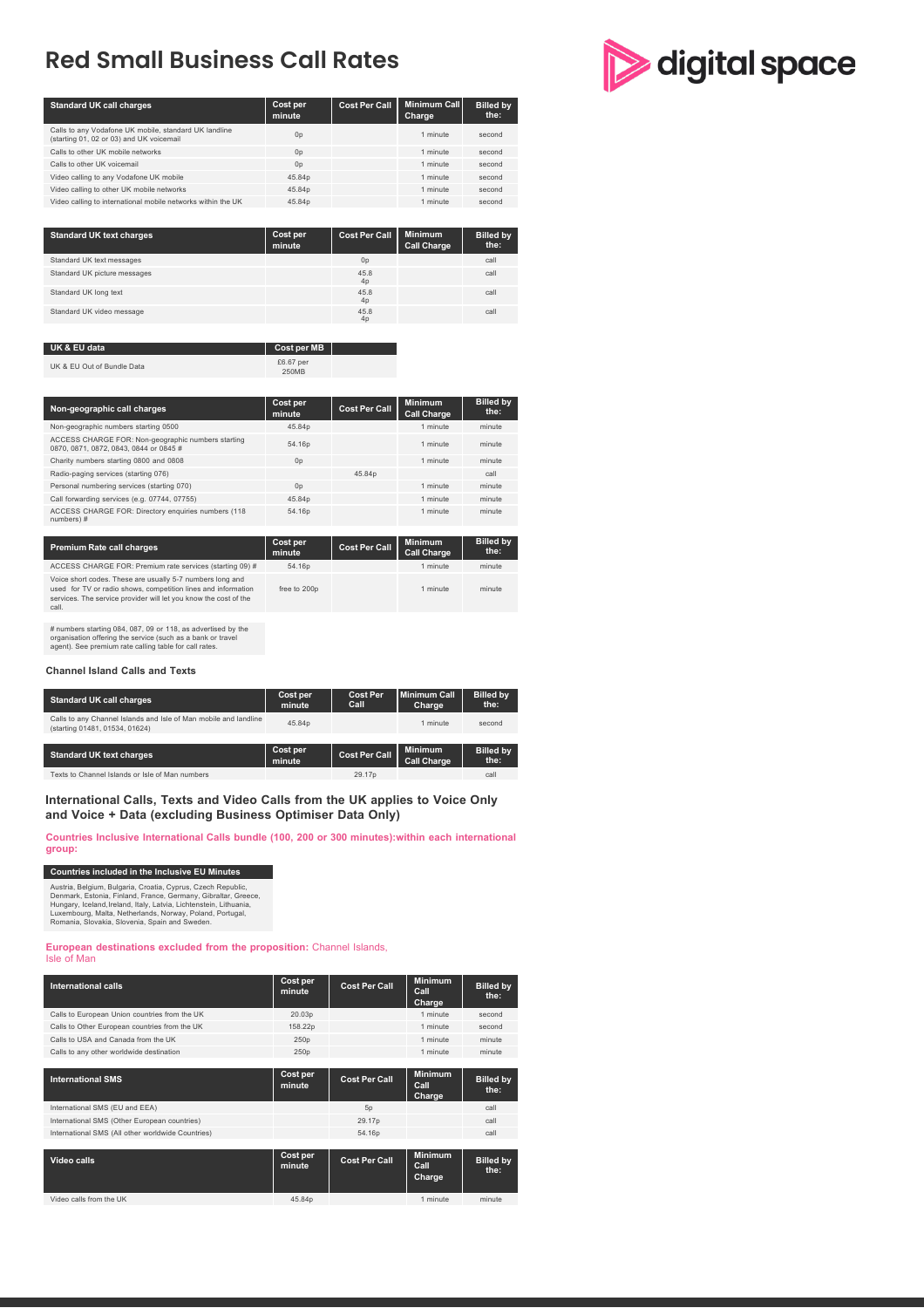# **Red Small Business Call Rates**

| <b>Standard UK call charges</b>                                                                   | Cost per<br>minute | <b>Cost Per Call</b> | <b>Minimum Call</b><br>Charge | <b>Billed by</b><br>the: |
|---------------------------------------------------------------------------------------------------|--------------------|----------------------|-------------------------------|--------------------------|
| Calls to any Vodafone UK mobile, standard UK landline<br>(starting 01, 02 or 03) and UK voicemail | 0 <sub>p</sub>     |                      | 1 minute                      | second                   |
| Calls to other UK mobile networks                                                                 | 0 <sub>p</sub>     |                      | 1 minute                      | second                   |
| Calls to other UK voicemail                                                                       | 0 <sub>D</sub>     |                      | 1 minute                      | second                   |
| Video calling to any Vodafone UK mobile                                                           | 45.84p             |                      | 1 minute                      | second                   |
| Video calling to other UK mobile networks                                                         | 45.84p             |                      | 1 minute                      | second                   |
| Video calling to international mobile networks within the UK                                      | 45.84p             |                      | 1 minute                      | second                   |

| <b>Standard UK text charges</b> | Cost per<br>minute | <b>Cost Per Call</b> | <b>Minimum</b><br><b>Call Charge</b> | <b>Billed by</b><br>the: |
|---------------------------------|--------------------|----------------------|--------------------------------------|--------------------------|
| Standard UK text messages       |                    | 0 <sub>p</sub>       |                                      | call                     |
| Standard UK picture messages    |                    | 45.8<br>4p           |                                      | call                     |
| Standard UK long text           |                    | 45.8<br>4p           |                                      | call                     |
| Standard UK video message       |                    | 45.8<br>4p           |                                      | call                     |

#### **Cost per MB** UK & EU Out of Bundle Data £6.67 per

| Non-geographic call charges                                                                                                                                                                                                                                          | Cost per<br>minute                    | <b>Cost Per Call</b> | <b>Minimum</b><br><b>Call Charge</b> | <b>Billed by</b><br>the: |
|----------------------------------------------------------------------------------------------------------------------------------------------------------------------------------------------------------------------------------------------------------------------|---------------------------------------|----------------------|--------------------------------------|--------------------------|
| Non-geographic numbers starting 0500                                                                                                                                                                                                                                 | 45.84p                                |                      | 1 minute                             | minute                   |
| ACCESS CHARGE FOR: Non-geographic numbers starting<br>0870, 0871, 0872, 0843, 0844 or 0845 #                                                                                                                                                                         | 54.16p                                |                      | 1 minute                             | minute                   |
| Charity numbers starting 0800 and 0808                                                                                                                                                                                                                               | 0 <sub>D</sub>                        |                      | 1 minute                             | minute                   |
| Radio-paging services (starting 076)                                                                                                                                                                                                                                 |                                       | 45.84p               |                                      | call                     |
| Personal numbering services (starting 070)                                                                                                                                                                                                                           | 0 <sub>D</sub>                        |                      | 1 minute                             | minute                   |
| Call forwarding services (e.g. 07744, 07755)                                                                                                                                                                                                                         | 45.84p                                |                      | 1 minute                             | minute                   |
| ACCESS CHARGE FOR: Directory enquiries numbers (118)<br>numbers)#                                                                                                                                                                                                    | 54.16p                                |                      | 1 minute                             | minute                   |
|                                                                                                                                                                                                                                                                      |                                       |                      |                                      |                          |
| <b>Premium Rate call charges</b>                                                                                                                                                                                                                                     | Cost per<br>minute                    | <b>Cost Per Call</b> | <b>Minimum</b><br><b>Call Charge</b> | <b>Billed by</b><br>the: |
| $\mathbf{1} \cap \mathbf{0}$ $\mathbf{0} \cap \mathbf{1}$ $\mathbf{1} \cap \mathbf{0}$ $\mathbf{0} \cap \mathbf{0}$ $\mathbf{0} \cap \mathbf{0}$ $\mathbf{0} \cap \mathbf{0}$ $\mathbf{1} \cap \mathbf{1}$ $\mathbf{0} \cap \mathbf{0}$ $\mathbf{1} \cap \mathbf{0}$ | $\mathbb{R}$ is a set of $\mathbb{R}$ |                      | .                                    | .                        |

| ACCESS CHARGE FOR: Premium rate services (starting 09) #                                                                                                                                                | 54.16p       | 1 minute | minute |
|---------------------------------------------------------------------------------------------------------------------------------------------------------------------------------------------------------|--------------|----------|--------|
| Voice short codes. These are usually 5-7 numbers long and<br>used for TV or radio shows, competition lines and information<br>services. The service provider will let you know the cost of the<br>call. | free to 200p | 1 minute | minute |

# numbers starting 084, 087, 09 or 118, as advertised by the organisation offering the service (such as a bank or travel agent). See premium rate calling table for call rates.

#### **Channel Island Calls and Texts**

| <b>Standard UK call charges</b>                                                                    | Cost per<br>minute | <b>Cost Per</b><br>Call | Minimum Call<br>Charge               | <b>Billed by</b><br>the: |
|----------------------------------------------------------------------------------------------------|--------------------|-------------------------|--------------------------------------|--------------------------|
| Calls to any Channel Islands and Isle of Man mobile and landline<br>(starting 01481, 01534, 01624) | 45.84p             |                         | 1 minute                             | second                   |
| <b>Standard UK text charges</b>                                                                    | Cost per<br>minute | <b>Cost Per Call</b>    | <b>Minimum</b><br><b>Call Charge</b> | <b>Billed by</b><br>the: |
| Texts to Channel Islands or Isle of Man numbers                                                    |                    | 29.17 <sub>p</sub>      |                                      | call                     |

**International Calls, Texts and Video Calls from the UK applies to Voice Only and Voice + Data (excluding Business Optimiser Data Only)**

**Countries Inclusive International Calls bundle (100, 200 or 300 minutes):within each international group:**

#### **Countries included in the Inclusive EU Minutes**

Austria, Belgium, Bulgaria, Croatia, Cyprus, Czech Republic,<br>Denmark, Estonia, Finland, France, Germany, Gibraltar, Greece,<br>Hungary, Iceland,Ireland, Italy, Latvia, Lichtenstein, Lithuania,<br>Luxembourg, Malta, Netherlands,

**European destinations excluded from the proposition:** Channel Islands, Isle of Man

| <b>International calls</b>                        | Cost per<br>minute | <b>Cost Per Call</b> | <b>Minimum</b><br>Call<br>Charge | <b>Billed by</b><br>the: |
|---------------------------------------------------|--------------------|----------------------|----------------------------------|--------------------------|
| Calls to European Union countries from the UK     | 20.03p             |                      | 1 minute                         | second                   |
| Calls to Other European countries from the UK     | 158.22p            |                      | 1 minute                         | second                   |
| Calls to USA and Canada from the UK               | 250 <sub>p</sub>   |                      | 1 minute                         | minute                   |
| Calls to any other worldwide destination          | 250 <sub>p</sub>   |                      | 1 minute                         | minute                   |
|                                                   |                    |                      |                                  |                          |
| <b>International SMS</b>                          | Cost per<br>minute | <b>Cost Per Call</b> | <b>Minimum</b><br>Call<br>Charge | <b>Billed by</b><br>the: |
| International SMS (EU and EEA)                    |                    | 5 <sub>D</sub>       |                                  | call                     |
| International SMS (Other European countries)      |                    | 29.17p               |                                  | call                     |
| International SMS (All other worldwide Countries) |                    | 54.16p               |                                  | call                     |
|                                                   |                    |                      |                                  |                          |
| Video calls                                       | Cost per<br>minute | <b>Cost Per Call</b> | <b>Minimum</b><br>Call<br>Charge | <b>Billed by</b><br>the: |
| Video calls from the UK                           | 45.84p             |                      | 1 minute                         | minute                   |

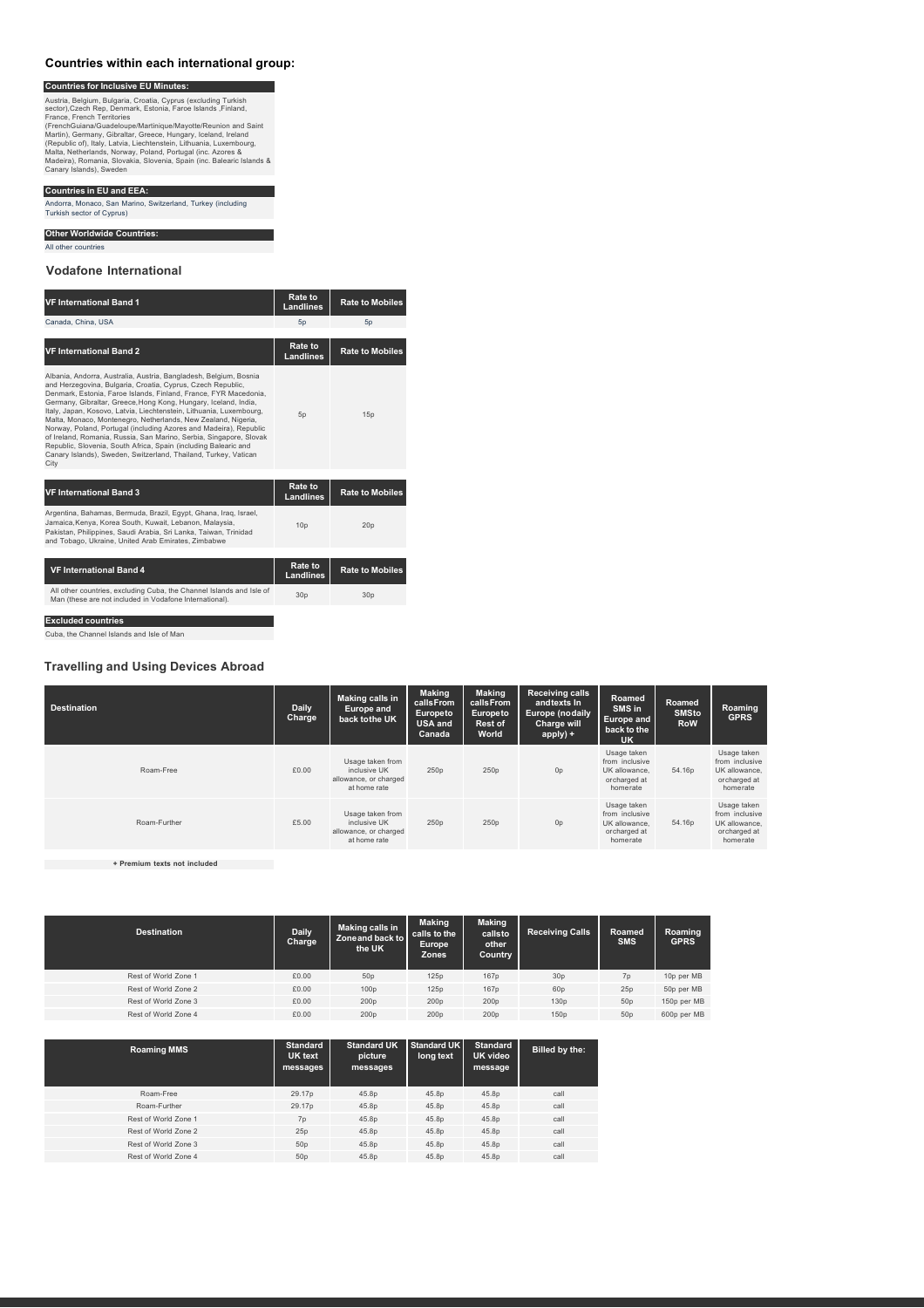### **Countries within each international group:**

**Countries for Inclusive EU Minutes:** Austria, Belgium, Bulgaria, Croatia, Cyprus (excluding Turkish<br>esctor),Czech Rep, Denmark, Estonia, Faroe Islands ,Finland,<br>France, French Territories<br>France, French Territories<br>(PrenchGuiana/Guadeloupe/Martinique/Mayotte/

#### **Countries in EU and EEA:**

Andorra, Monaco, San Marino, Switzerland, Turkey (including Turkish sector of Cyprus)

**Other Worldwide Countries:**

All other countries

**Vodafone International**

# **VF International Band <sup>1</sup> Rate to Landlines Rate to Mobiles** Canada, China, USA 5p 5p **VF International Band <sup>2</sup> Rate to Landlines Rate to Mobiles** Albania, Andorra, Australia, Austria, Bangladesh, Belgium, Bosnia<br>and Herzegovina, Bulgaria, Croatia, Cyprus, Czech Republic,<br>Demmark, Estonia, Faroe Islands, Finland, France, FYR Macedonia,<br>Germary, Gibrallar, Greece, Hon 5p 15p **VF International Band <sup>3</sup> Rate to Landlines Rate to Mobiles** Argentina, Bahamas, Bermuda, Brazil, Egypt, Ghana, Iraq, Israel,<br>Jamaica,Kenya, Korea South, Kuwait, Lebanon, Malaysia,<br>Pakistan, Philippines, Saudi Arabia, Sri Lanka, Taiwan, Trinidad<br>and Tobago, Ukraine, United Arab Emir 10p 20p **VF** International Band 4 **Rate to**<br> **Rate to**<br> **Landlines Landlines Rate to Mobiles** All other countries, excluding Cuba, the Channel Islands and Isle of Man (these are not included in Vodafone International). 30p 30p

**Excluded countries**

Cuba, the Channel Islands and Isle of Man

#### **Travelling and Using Devices Abroad**

| <b>Destination</b> | <b>Daily</b><br>Charge | <b>Making calls in</b><br><b>Europe and</b><br>back to the UK             | <b>Making</b><br>calls From<br><b>Europeto</b><br><b>USA and</b><br>Canada | <b>Making</b><br>calls From<br>Europeto<br>Rest of<br>World | <b>Receiving calls</b><br>andtexts In<br><b>Europe (nodaily</b><br>Charge will<br>apply) + | Roamed<br>SMS in<br><b>Europe and</b><br>back to the<br><b>UK</b>          | Roamed<br><b>SMSto</b><br><b>RoW</b> | Roaming<br><b>GPRS</b>                                                     |
|--------------------|------------------------|---------------------------------------------------------------------------|----------------------------------------------------------------------------|-------------------------------------------------------------|--------------------------------------------------------------------------------------------|----------------------------------------------------------------------------|--------------------------------------|----------------------------------------------------------------------------|
| Roam-Free          | £0.00                  | Usage taken from<br>inclusive UK<br>allowance, or charged<br>at home rate | 250p                                                                       | 250p                                                        | 0 <sub>p</sub>                                                                             | Usage taken<br>from inclusive<br>UK allowance.<br>orcharged at<br>homerate | 54.16p                               | Usage taken<br>from inclusive<br>UK allowance,<br>orcharged at<br>homerate |
| Roam-Further       | £5.00                  | Usage taken from<br>inclusive UK<br>allowance, or charged<br>at home rate | 250p                                                                       | 250p                                                        | 0 <sub>p</sub>                                                                             | Usage taken<br>from inclusive<br>UK allowance.<br>orcharged at<br>homerate | 54.16p                               | Usage taken<br>from inclusive<br>UK allowance.<br>orcharged at<br>homerate |

**+ Premium texts not included**

| <b>Destination</b>   | <b>Daily</b><br>Charge | Making calls in<br>Zoneand back to<br>the UK | <b>Making</b><br>calls to the<br><b>Europe</b><br><b>Zones</b> | <b>Making</b><br>callsto<br>other<br>Country | <b>Receiving Calls</b> | Roamed<br><b>SMS</b> | Roaming<br><b>GPRS</b> |
|----------------------|------------------------|----------------------------------------------|----------------------------------------------------------------|----------------------------------------------|------------------------|----------------------|------------------------|
| Rest of World Zone 1 | £0.00                  | 50p                                          | 125p                                                           | 167p                                         | 30 <sub>p</sub>        | 7 <sub>D</sub>       | 10p per MB             |
| Rest of World Zone 2 | £0.00                  | 100p                                         | 125p                                                           | 167p                                         | 60 <sub>p</sub>        | 25p                  | 50p per MB             |
| Rest of World Zone 3 | £0.00                  | 200p                                         | 200p                                                           | 200 <sub>D</sub>                             | 130 <sub>D</sub>       | 50 <sub>D</sub>      | 150p per MB            |
| Rest of World Zone 4 | £0.00                  | 200p                                         | 200p                                                           | 200p                                         | 150p                   | 50 <sub>p</sub>      | 600p per MB            |

| <b>Roaming MMS</b>   | <b>Standard</b><br>UK text<br>messages | <b>Standard UK</b><br>picture<br>messages | <b>Standard UK</b><br>long text | <b>Standard</b><br>UK video<br>message | Billed by the: |
|----------------------|----------------------------------------|-------------------------------------------|---------------------------------|----------------------------------------|----------------|
| Roam-Free            | 29.17p                                 | 45.8p                                     | 45.8p                           | 45.8p                                  | call           |
| Roam-Further         | 29.17p                                 | 45.8p                                     | 45.8p                           | 45.8p                                  | call           |
| Rest of World Zone 1 | 7p                                     | 45.8p                                     | 45.8p                           | 45.8p                                  | call           |
| Rest of World Zone 2 | 25p                                    | 45.8p                                     | 45.8p                           | 45.8p                                  | call           |
| Rest of World Zone 3 | 50p                                    | 45.8p                                     | 45.8p                           | 45.8p                                  | call           |
| Rest of World Zone 4 | 50 <sub>D</sub>                        | 45.8p                                     | 45.8p                           | 45.8p                                  | call           |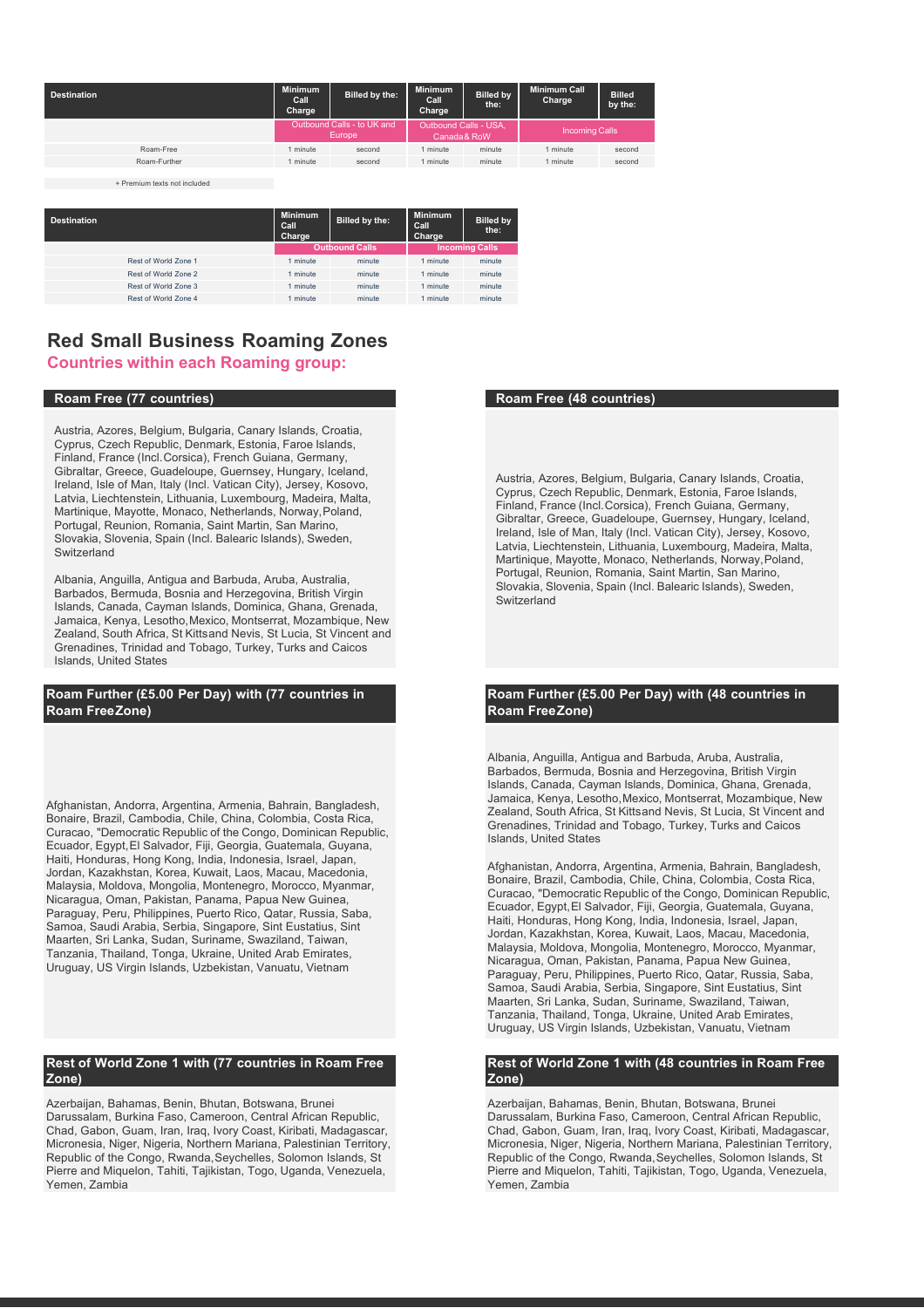| <b>Destination</b> | <b>Minimum</b><br>Call<br>Charge | Billed by the:                              | <b>Minimum</b><br>Call<br>Charge | <b>Billed by</b><br>the:             | <b>Minimum Call</b><br>Charge | <b>Billed</b><br>by the: |
|--------------------|----------------------------------|---------------------------------------------|----------------------------------|--------------------------------------|-------------------------------|--------------------------|
|                    |                                  | Outbound Calls - to UK and<br><b>Europe</b> |                                  | Outbound Calls - USA,<br>Canada& RoW | <b>Incoming Calls</b>         |                          |
| Roam-Free          | minute                           | second                                      | minute                           | minute                               | minute                        | second                   |
| Roam-Further       | minute                           | second                                      | minute                           | minute                               | minute                        | second                   |
|                    |                                  |                                             |                                  |                                      |                               |                          |

+ Premium texts not included

| <b>Destination</b> |                      | <b>Minimum</b><br>Call<br>Charge | Billed by the:        | <b>Minimum</b><br>Call<br>Charge | <b>Billed by</b><br>the: |
|--------------------|----------------------|----------------------------------|-----------------------|----------------------------------|--------------------------|
|                    |                      |                                  | <b>Outbound Calls</b> |                                  | <b>Incoming Calls</b>    |
|                    | Rest of World Zone 1 | minute                           | minute                | 1 minute                         | minute                   |
|                    | Rest of World Zone 2 | minute                           | minute                | 1 minute                         | minute                   |
|                    | Rest of World Zone 3 | minute                           | minute                | 1 minute                         | minute                   |
|                    | Rest of World Zone 4 | minute                           | minute                | 1 minute                         | minute                   |
|                    |                      |                                  |                       |                                  |                          |

# **Red Small Business Roaming Zones**

# **Countries within each Roaming group:**

## **Roam Free (77 countries) Roam Free (48 countries)**

Austria, Azores, Belgium, Bulgaria, Canary Islands, Croatia, Cyprus, Czech Republic, Denmark, Estonia, Faroe Islands, Finland, France (Incl.Corsica), French Guiana, Germany, Gibraltar, Greece, Guadeloupe, Guernsey, Hungary, Iceland, Ireland, Isle of Man, Italy (Incl. Vatican City), Jersey, Kosovo, Latvia, Liechtenstein, Lithuania, Luxembourg, Madeira, Malta, Martinique, Mayotte, Monaco, Netherlands, Norway,Poland, Portugal, Reunion, Romania, Saint Martin, San Marino, Slovakia, Slovenia, Spain (Incl. Balearic Islands), Sweden, Switzerland

Albania, Anguilla, Antigua and Barbuda, Aruba, Australia, Barbados, Bermuda, Bosnia and Herzegovina, British Virgin Islands, Canada, Cayman Islands, Dominica, Ghana, Grenada, Jamaica, Kenya, Lesotho,Mexico, Montserrat, Mozambique, New Zealand, South Africa, St Kittsand Nevis, St Lucia, St Vincent and Grenadines, Trinidad and Tobago, Turkey, Turks and Caicos Islands, United States

# **Roam Further (£5.00 Per Day) with (77 countries in Roam FreeZone)**

Afghanistan, Andorra, Argentina, Armenia, Bahrain, Bangladesh, Bonaire, Brazil, Cambodia, Chile, China, Colombia, Costa Rica, Curacao, "Democratic Republic of the Congo, Dominican Republic, Ecuador, Egypt,El Salvador, Fiji, Georgia, Guatemala, Guyana, Haiti, Honduras, Hong Kong, India, Indonesia, Israel, Japan, Jordan, Kazakhstan, Korea, Kuwait, Laos, Macau, Macedonia, Malaysia, Moldova, Mongolia, Montenegro, Morocco, Myanmar, Nicaragua, Oman, Pakistan, Panama, Papua New Guinea, Paraguay, Peru, Philippines, Puerto Rico, Qatar, Russia, Saba, Samoa, Saudi Arabia, Serbia, Singapore, Sint Eustatius, Sint Maarten, Sri Lanka, Sudan, Suriname, Swaziland, Taiwan, Tanzania, Thailand, Tonga, Ukraine, United Arab Emirates, Uruguay, US Virgin Islands, Uzbekistan, Vanuatu, Vietnam

### **Rest of World Zone 1 with (77 countries in Roam Free Zone)**

Azerbaijan, Bahamas, Benin, Bhutan, Botswana, Brunei Darussalam, Burkina Faso, Cameroon, Central African Republic, Chad, Gabon, Guam, Iran, Iraq, Ivory Coast, Kiribati, Madagascar, Micronesia, Niger, Nigeria, Northern Mariana, Palestinian Territory, Republic of the Congo, Rwanda, Seychelles, Solomon Islands, St Pierre and Miquelon, Tahiti, Tajikistan, Togo, Uganda, Venezuela, Yemen, Zambia

Austria, Azores, Belgium, Bulgaria, Canary Islands, Croatia, Cyprus, Czech Republic, Denmark, Estonia, Faroe Islands, Finland, France (Incl.Corsica), French Guiana, Germany, Gibraltar, Greece, Guadeloupe, Guernsey, Hungary, Iceland, Ireland, Isle of Man, Italy (Incl. Vatican City), Jersey, Kosovo, Latvia, Liechtenstein, Lithuania, Luxembourg, Madeira, Malta, Martinique, Mayotte, Monaco, Netherlands, Norway, Poland, Portugal, Reunion, Romania, Saint Martin, San Marino, Slovakia, Slovenia, Spain (Incl. Balearic Islands), Sweden, Switzerland

# **Roam Further (£5.00 Per Day) with (48 countries in Roam FreeZone)**

Albania, Anguilla, Antigua and Barbuda, Aruba, Australia, Barbados, Bermuda, Bosnia and Herzegovina, British Virgin Islands, Canada, Cayman Islands, Dominica, Ghana, Grenada, Jamaica, Kenya, Lesotho,Mexico, Montserrat, Mozambique, New Zealand, South Africa, St Kittsand Nevis, St Lucia, St Vincent and Grenadines, Trinidad and Tobago, Turkey, Turks and Caicos Islands, United States

Afghanistan, Andorra, Argentina, Armenia, Bahrain, Bangladesh, Bonaire, Brazil, Cambodia, Chile, China, Colombia, Costa Rica, Curacao, "Democratic Republic of the Congo, Dominican Republic, Ecuador, Egypt,El Salvador, Fiji, Georgia, Guatemala, Guyana, Haiti, Honduras, Hong Kong, India, Indonesia, Israel, Japan, Jordan, Kazakhstan, Korea, Kuwait, Laos, Macau, Macedonia, Malaysia, Moldova, Mongolia, Montenegro, Morocco, Myanmar, Nicaragua, Oman, Pakistan, Panama, Papua New Guinea, Paraguay, Peru, Philippines, Puerto Rico, Qatar, Russia, Saba, Samoa, Saudi Arabia, Serbia, Singapore, Sint Eustatius, Sint Maarten, Sri Lanka, Sudan, Suriname, Swaziland, Taiwan, Tanzania, Thailand, Tonga, Ukraine, United Arab Emirates, Uruguay, US Virgin Islands, Uzbekistan, Vanuatu, Vietnam

#### **Rest of World Zone 1 with (48 countries in Roam Free Zone)**

Azerbaijan, Bahamas, Benin, Bhutan, Botswana, Brunei Darussalam, Burkina Faso, Cameroon, Central African Republic, Chad, Gabon, Guam, Iran, Iraq, Ivory Coast, Kiribati, Madagascar, Micronesia, Niger, Nigeria, Northern Mariana, Palestinian Territory, Republic of the Congo, Rwanda,Seychelles, Solomon Islands, St Pierre and Miquelon, Tahiti, Tajikistan, Togo, Uganda, Venezuela, Yemen, Zambia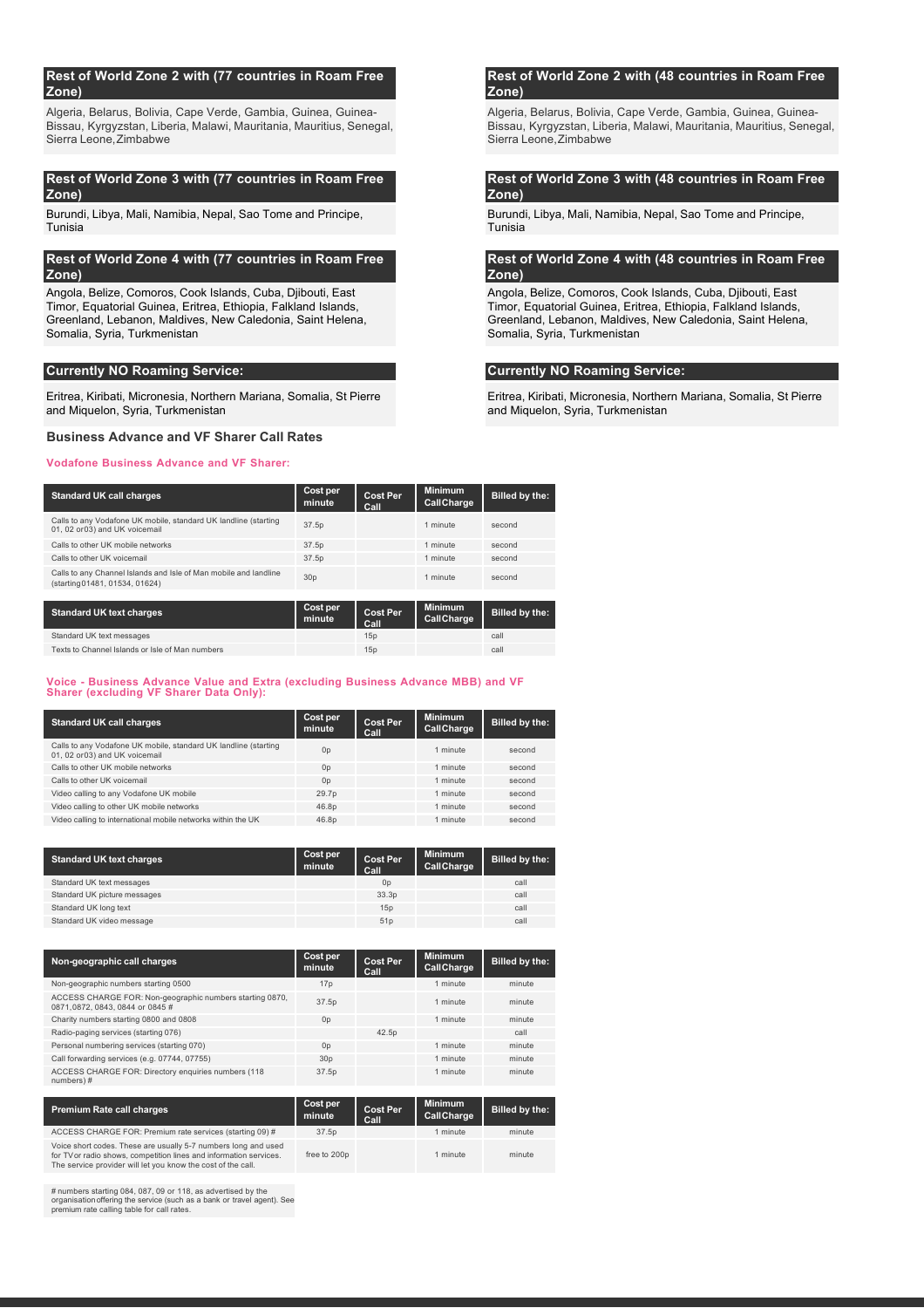#### **Rest of World Zone 2 with (77 countries in Roam Free Zone)**

Algeria, Belarus, Bolivia, Cape Verde, Gambia, Guinea, Guinea-Bissau, Kyrgyzstan, Liberia, Malawi, Mauritania, Mauritius, Senegal, Sierra Leone,Zimbabwe

### **Rest of World Zone 3 with (77 countries in Roam Free Zone)**

Burundi, Libya, Mali, Namibia, Nepal, Sao Tome and Principe, Tunisia

### **Rest of World Zone 4 with (77 countries in Roam Free Zone)**

Angola, Belize, Comoros, Cook Islands, Cuba, Djibouti, East Timor, Equatorial Guinea, Eritrea, Ethiopia, Falkland Islands, Greenland, Lebanon, Maldives, New Caledonia, Saint Helena, Somalia, Syria, Turkmenistan

#### **Currently NO Roaming Service: Currently NO Roaming Service:**

Eritrea, Kiribati, Micronesia, Northern Mariana, Somalia, St Pierre and Miquelon, Syria, Turkmenistan

### **Business Advance and VF Sharer Call Rates**

#### **Vodafone Business Advance and VF Sharer:**

#### **Standard UK** call charges **Cost performance Cost performance Cost performance minute Cost Per Call Minimum CallCharge Billed by the:** Calls to any Vodafone UK mobile, standard UK landline (starting Calls to any Vodatone UK mobile, standard UK landline (starting 17.5p 1 minute second<br>
01.02 or03) and UK voicemail Calls to other UK mobile networks 37.5p 1 minute second Calls to other UK voicemail 37.5p 1 minute second Calls to any Channel Islands and Isle of Man mobile and landline Calls to any Channel Islands and Isle of Man mobile and landline 30p 1 minute second<br>(starting01481, 01534, 01624)

| Standard UK text charges                        | Cost per<br>minute | <b>Cost Per</b><br>Call | <b>Minimum</b><br>CallCharge | Billed by the: |
|-------------------------------------------------|--------------------|-------------------------|------------------------------|----------------|
| Standard UK text messages                       |                    | 15p                     |                              | call           |
| Texts to Channel Islands or Isle of Man numbers |                    | 15 <sub>D</sub>         |                              | call           |

#### **Voice - Business Advance Value and Extra (excluding Business Advance MBB) and VF Sharer (excluding VF Sharer Data Only):**

| <b>Standard UK call charges</b>                                                                   | Cost per<br>minute | <b>Cost Per</b><br>Call | <b>Minimum</b><br>CallCharge | Billed by the: |
|---------------------------------------------------------------------------------------------------|--------------------|-------------------------|------------------------------|----------------|
| Calls to any Vodafone UK mobile, standard UK landline (starting<br>01, 02 or 03) and UK voicemail | 0 <sub>p</sub>     |                         | 1 minute                     | second         |
| Calls to other UK mobile networks                                                                 | 0 <sub>p</sub>     |                         | 1 minute                     | second         |
| Calls to other UK voicemail                                                                       | 0 <sub>p</sub>     |                         | 1 minute                     | second         |
| Video calling to any Vodafone UK mobile                                                           | 29.7 <sub>p</sub>  |                         | 1 minute                     | second         |
| Video calling to other UK mobile networks                                                         | 46.8p              |                         | 1 minute                     | second         |
| Video calling to international mobile networks within the UK                                      | 46.8p              |                         | 1 minute                     | second         |

| <b>Standard UK text charges</b> | Cost per<br>minute | <b>Cost Per</b><br>Call | <b>Minimum</b><br>CallCharge | Billed by the: |
|---------------------------------|--------------------|-------------------------|------------------------------|----------------|
| Standard UK text messages       |                    | 0 <sub>p</sub>          |                              | call           |
| Standard UK picture messages    |                    | 33.3 <sub>D</sub>       |                              | call           |
| Standard UK long text           |                    | 15p                     |                              | call           |
| Standard UK video message       |                    | 51p                     |                              | call           |

| Non-geographic call charges                                                               | Cost per<br>minute | <b>Cost Per</b><br>Call | <b>Minimum</b><br>CallCharge | Billed by the: |
|-------------------------------------------------------------------------------------------|--------------------|-------------------------|------------------------------|----------------|
| Non-geographic numbers starting 0500                                                      | 17 <sub>D</sub>    |                         | 1 minute                     | minute         |
| ACCESS CHARGE FOR: Non-geographic numbers starting 0870,<br>0871.0872.0843.0844 or 0845 # | 37.5p              |                         | 1 minute                     | minute         |
| Charity numbers starting 0800 and 0808                                                    | 0 <sub>p</sub>     |                         | 1 minute                     | minute         |
| Radio-paging services (starting 076)                                                      |                    | 42.5 <sub>D</sub>       |                              | call           |
| Personal numbering services (starting 070)                                                | 0 <sub>D</sub>     |                         | 1 minute                     | minute         |
| Call forwarding services (e.g. 07744, 07755)                                              | 30 <sub>D</sub>    |                         | 1 minute                     | minute         |
| ACCESS CHARGE FOR: Directory enquiries numbers (118<br>numbers)#                          | 37.5p              |                         | 1 minute                     | minute         |
|                                                                                           |                    |                         |                              |                |

| <b>Premium Rate call charges</b>                                                                                                                                                                     | Cost per<br>minute | <b>Cost Per</b><br>Call | <b>Minimum</b><br>CallCharge | Billed by the: |
|------------------------------------------------------------------------------------------------------------------------------------------------------------------------------------------------------|--------------------|-------------------------|------------------------------|----------------|
| ACCESS CHARGE FOR: Premium rate services (starting 09) #                                                                                                                                             | 37.5 <sub>p</sub>  |                         | 1 minute                     | minute         |
| Voice short codes. These are usually 5-7 numbers long and used<br>for TV or radio shows, competition lines and information services.<br>The service provider will let you know the cost of the call. | free to 200p       |                         | 1 minute                     | minute         |

# numbers starting 084, 087, 09 or 118, as advertised by the organisationoffering the service (such as a bank or travel agent). See premium rate calling table for call rates.

### **Rest of World Zone 2 with (48 countries in Roam Free Zone)**

Algeria, Belarus, Bolivia, Cape Verde, Gambia, Guinea, Guinea-Bissau, Kyrgyzstan, Liberia, Malawi, Mauritania, Mauritius, Senegal, Sierra Leone,Zimbabwe

# **Rest of World Zone 3 with (48 countries in Roam Free Zone)**

Burundi, Libya, Mali, Namibia, Nepal, Sao Tome and Principe, Tunisia

### **Rest of World Zone 4 with (48 countries in Roam Free Zone)**

Angola, Belize, Comoros, Cook Islands, Cuba, Djibouti, East Timor, Equatorial Guinea, Eritrea, Ethiopia, Falkland Islands, Greenland, Lebanon, Maldives, New Caledonia, Saint Helena, Somalia, Syria, Turkmenistan

Eritrea, Kiribati, Micronesia, Northern Mariana, Somalia, St Pierre and Miquelon, Syria, Turkmenistan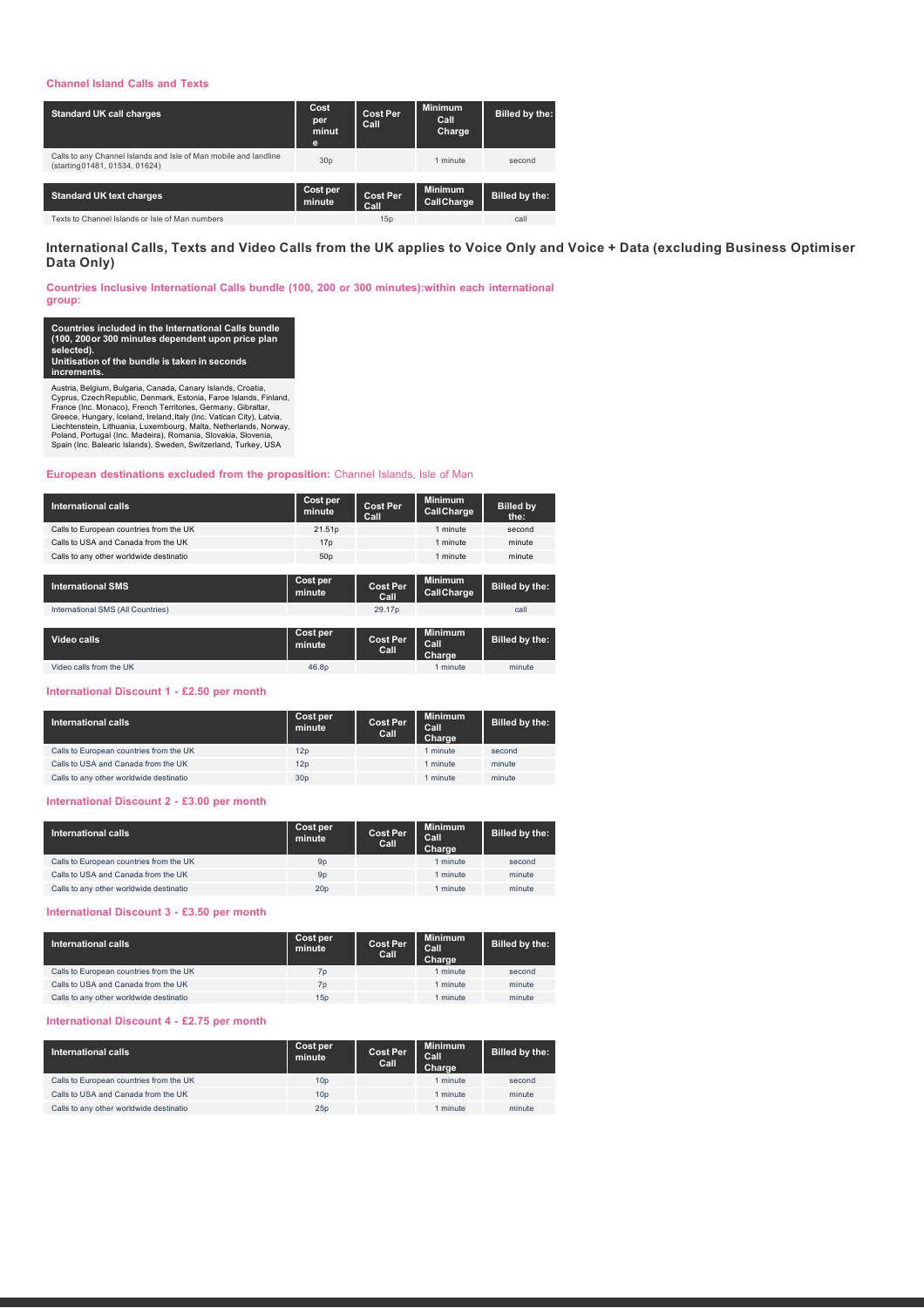### **Channel Island Calls and Texts**

| <b>Standard UK call charges</b>                                                                    | Cost<br>per<br>minut<br>e | <b>Cost Per</b><br>Call        | <b>Minimum</b><br>Call<br><b>Charge</b> | Billed by the: |
|----------------------------------------------------------------------------------------------------|---------------------------|--------------------------------|-----------------------------------------|----------------|
| Calls to any Channel Islands and Isle of Man mobile and landline<br>(starting 01481, 01534, 01624) | 30 <sub>p</sub>           |                                | 1 minute                                | second         |
|                                                                                                    |                           |                                |                                         |                |
| <b>Standard UK text charges</b>                                                                    | Cost per<br>minute        | <b>Cost Per</b><br><b>Call</b> | <b>Minimum</b><br>CallCharge            | Billed by the: |
| Texts to Channel Islands or Isle of Man numbers                                                    |                           | 15p                            |                                         | call           |

# International Calls, Texts and Video Calls from the UK applies to Voice Only and Voice + Data (excluding Business Optimiser **Data Only)**

**Countries Inclusive International Calls bundle (100, 200 or 300 minutes):within each international group:**

Countries included in the International Calls bundle<br>(100, 200or 300 minutes dependent upon price plan<br>selected).<br>Unitisation of the bundle is taken in seconds **increments.**

Austria, Belgium, Bulgaria, Canada, Canary Islands, Croatia,<br>Cyprus, Czech Republic, Denmark, Estonia, Faroe Islands, Finland,<br>France (Inc. Monaco), French Territories, Germany, Gibraltar,<br>Greece, Hungary, Iceland, Irrelan

#### **European destinations excluded from the proposition:** Channel Islands, Isle of Man

| International calls                     | Cost per<br>minute | <b>Cost Per</b><br>Call                                 | <b>Minimum</b><br>CallCharge     | <b>Billed by</b><br>the: |
|-----------------------------------------|--------------------|---------------------------------------------------------|----------------------------------|--------------------------|
| Calls to European countries from the UK | 21.51 <sub>p</sub> |                                                         | 1 minute                         | second                   |
| Calls to USA and Canada from the UK     | 17 <sub>D</sub>    |                                                         | 1 minute                         | minute                   |
| Calls to any other worldwide destinatio | 50 <sub>D</sub>    |                                                         | 1 minute                         | minute                   |
|                                         |                    |                                                         |                                  |                          |
| <b>International SMS</b>                | Cost per<br>minute | <b>Minimum</b><br><b>Cost Per</b><br>CallCharge<br>Call |                                  | Billed by the:           |
| International SMS (All Countries)       |                    | 29.17 <sub>p</sub>                                      |                                  | call                     |
|                                         |                    |                                                         |                                  |                          |
| Video calls                             | Cost per<br>minute | <b>Cost Per</b><br>Call                                 | <b>Minimum</b><br>Call<br>Charge | <b>Billed by the:</b>    |
| Video calls from the UK                 | 46.8p              |                                                         | 1 minute                         | minute                   |

**International Discount 1 - £2.50 per month**

| International calls                     | Cost per<br>minute | <b>Cost Per</b><br>Call | <b>Minimum</b><br>Call<br>Charge | Billed by the: |
|-----------------------------------------|--------------------|-------------------------|----------------------------------|----------------|
| Calls to European countries from the UK | 12p                |                         | 1 minute                         | second         |
| Calls to USA and Canada from the UK     | 12p                |                         | 1 minute                         | minute         |
| Calls to any other worldwide destinatio | 30 <sub>p</sub>    |                         | 1 minute                         | minute         |
|                                         |                    |                         |                                  |                |

#### **International Discount 2 - £3.00 per month**

| $\blacksquare$ International calls $\lq$ | Cost per<br>minute | <b>Cost Per</b><br>Call | <b>Minimum</b><br>Call<br>Charge | Billed by the: |
|------------------------------------------|--------------------|-------------------------|----------------------------------|----------------|
| Calls to European countries from the UK  | 9 <sub>D</sub>     |                         | 1 minute                         | second         |
| Calls to USA and Canada from the UK      | 9 <sub>D</sub>     |                         | 1 minute                         | minute         |
| Calls to any other worldwide destinatio  | 20 <sub>p</sub>    |                         | minute                           | minute         |
|                                          |                    |                         |                                  |                |

**International Discount 3 - £3.50 per month**

| International calls                     | Cost per<br>minute | <b>Cost Per</b><br>Call | <b>Minimum</b><br>Call<br>Charge | Billed by the: |
|-----------------------------------------|--------------------|-------------------------|----------------------------------|----------------|
| Calls to European countries from the UK | 7p                 |                         | 1 minute                         | second         |
| Calls to USA and Canada from the UK     | 7p                 |                         | 1 minute                         | minute         |
| Calls to any other worldwide destinatio | 15p                |                         | 1 minute                         | minute         |
|                                         |                    |                         |                                  |                |

### **International Discount 4 - £2.75 per month**

| International calls                     | Cost per<br>minute | <b>Cost Per</b><br>Call | <b>Minimum</b><br>Call<br>Charge | Billed by the: |
|-----------------------------------------|--------------------|-------------------------|----------------------------------|----------------|
| Calls to European countries from the UK | 10 <sub>D</sub>    |                         | 1 minute                         | second         |
| Calls to USA and Canada from the UK     | 10 <sub>D</sub>    |                         | 1 minute                         | minute         |
| Calls to any other worldwide destinatio | 25p                |                         | 1 minute                         | minute         |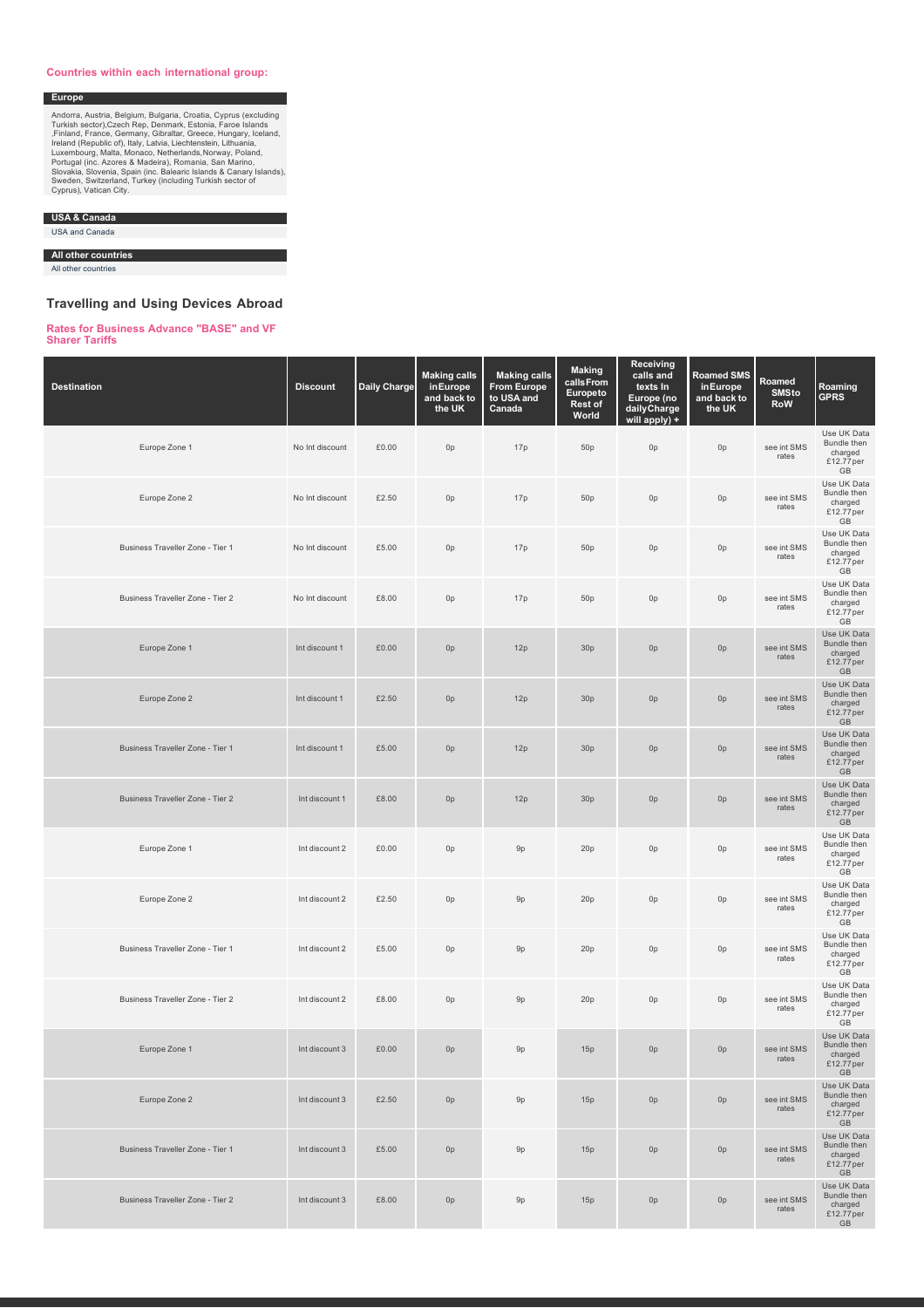#### **Countries within each international group:**

Andorra, Austria, Belgium, Bulgaria, Croatia, Cyprus (excluding<br>Turkish sector),Czech Rep, Denmark, Estonia, Faroe Islands<br>Firliand, France, Germany, Gibraltar, Greece, Hungary, Iceland,<br>Ireland (Republic of), Italy, Latvi

**USA & Canada**

USA and Canada

**Europe**

**All other countries**

All other countries

# **Travelling and Using Devices Abroad**

# **Rates for Business Advance "BASE" and VF Sharer Tariffs**

| <b>Destination</b>               | <b>Discount</b> | <b>Daily Charge</b> | <b>Making calls</b><br>inEurope<br>and back to<br>the UK | <b>Making calls</b><br><b>From Europe</b><br>to USA and<br>Canada | <b>Making</b><br>calls From<br>Europeto<br>Rest of<br>World | <b>Receiving</b><br>calls and<br>texts In<br>Europe (no<br>daily Charge<br>will apply) + | <b>Roamed SMS</b><br>in Europe<br>and back to<br>the UK | Roamed<br><b>SMSto</b><br><b>RoW</b> | Roaming<br><b>GPRS</b>                                                        |
|----------------------------------|-----------------|---------------------|----------------------------------------------------------|-------------------------------------------------------------------|-------------------------------------------------------------|------------------------------------------------------------------------------------------|---------------------------------------------------------|--------------------------------------|-------------------------------------------------------------------------------|
| Europe Zone 1                    | No Int discount | £0.00               | 0p                                                       | 17p                                                               | 50p                                                         | 0 <sub>p</sub>                                                                           | 0p                                                      | see int SMS<br>rates                 | Use UK Data<br>Bundle then<br>charged<br>£12.77 per<br>GB                     |
| Europe Zone 2                    | No Int discount | £2.50               | 0p                                                       | 17p                                                               | 50 <sub>p</sub>                                             | 0 <sub>p</sub>                                                                           | 0p                                                      | see int SMS<br>rates                 | Use UK Data<br>Bundle then<br>charged<br>£12.77 per<br>GB                     |
| Business Traveller Zone - Tier 1 | No Int discount | £5.00               | 0 <sub>p</sub>                                           | 17p                                                               | 50p                                                         | 0 <sub>p</sub>                                                                           | 0p                                                      | see int SMS<br>rates                 | Use UK Data<br>Bundle then<br>charged<br>£12.77 per<br>GB                     |
| Business Traveller Zone - Tier 2 | No Int discount | £8.00               | 0p                                                       | 17p                                                               | 50 <sub>p</sub>                                             | 0 <sub>p</sub>                                                                           | 0p                                                      | see int SMS<br>rates                 | Use UK Data<br>Bundle then<br>charged<br>£12.77 per<br>GB                     |
| Europe Zone 1                    | Int discount 1  | £0.00               | 0 <sub>p</sub>                                           | 12p                                                               | 30p                                                         | 0 <sub>p</sub>                                                                           | 0p                                                      | see int SMS<br>rates                 | Use UK Data<br>Bundle then<br>charged<br>£12.77 per<br>GB                     |
| Europe Zone 2                    | Int discount 1  | £2.50               | 0 <sub>p</sub>                                           | 12p                                                               | 30p                                                         | 0 <sub>p</sub>                                                                           | 0p                                                      | see int SMS<br>rates                 | Use UK Data<br>Bundle then<br>charged<br>£12.77 per<br>$\mathbb{G}\mathbb{B}$ |
| Business Traveller Zone - Tier 1 | Int discount 1  | £5.00               | 0 <sub>p</sub>                                           | 12p                                                               | 30 <sub>p</sub>                                             | 0p                                                                                       | 0 <sub>p</sub>                                          | see int SMS<br>rates                 | Use UK Data<br>Bundle then<br>charged<br>£12.77 per<br>GB                     |
| Business Traveller Zone - Tier 2 | Int discount 1  | £8.00               | 0 <sub>p</sub>                                           | 12p                                                               | 30p                                                         | 0p                                                                                       | 0p                                                      | see int SMS<br>rates                 | Use UK Data<br>Bundle then<br>charged<br>£12.77 per<br>GB                     |
| Europe Zone 1                    | Int discount 2  | £0.00               | 0p                                                       | 9p                                                                | 20p                                                         | 0p                                                                                       | 0p                                                      | see int SMS<br>rates                 | Use UK Data<br>Bundle then<br>charged<br>£12.77 per<br>GB                     |
| Europe Zone 2                    | Int discount 2  | £2.50               | 0p                                                       | 9p                                                                | 20p                                                         | 0 <sub>p</sub>                                                                           | 0p                                                      | see int SMS<br>rates                 | Use UK Data<br>Bundle then<br>charged<br>£12.77 per<br>GB                     |
| Business Traveller Zone - Tier 1 | Int discount 2  | £5.00               | 0p                                                       | 9p                                                                | 20p                                                         | 0p                                                                                       | 0p                                                      | see int SMS<br>rates                 | Use UK Data<br>Bundle then<br>charged<br>£12.77 per<br>GB                     |
| Business Traveller Zone - Tier 2 | Int discount 2  | £8.00               | 0 <sub>p</sub>                                           | 9p                                                                | 20p                                                         | 0 <sub>p</sub>                                                                           | 0p                                                      | see int SMS<br>rates                 | Use UK Data<br>Bundle then<br>charged<br>£12.77 per<br>GB                     |
| Europe Zone 1                    | Int discount 3  | £0.00               | 0p                                                       | 9p                                                                | 15p                                                         | 0 <sub>p</sub>                                                                           | 0p                                                      | see int SMS<br>rates                 | Use UK Data<br>Bundle then<br>charged<br>£12.77 per<br>GB                     |
| Europe Zone 2                    | Int discount 3  | £2.50               | 0 <sub>p</sub>                                           | 9p                                                                | 15p                                                         | 0 <sub>p</sub>                                                                           | 0p                                                      | see int SMS<br>rates                 | Use UK Data<br>Bundle then<br>charged<br>£12.77 per<br>GB                     |
| Business Traveller Zone - Tier 1 | Int discount 3  | £5.00               | 0 <sub>p</sub>                                           | 9p                                                                | 15p                                                         | 0 <sub>p</sub>                                                                           | 0p                                                      | see int SMS<br>rates                 | Use UK Data<br>Bundle then<br>charged<br>£12.77 per<br>GB                     |
| Business Traveller Zone - Tier 2 | Int discount 3  | £8.00               | 0 <sub>p</sub>                                           | 9p                                                                | 15p                                                         | 0 <sub>p</sub>                                                                           | 0p                                                      | see int SMS<br>rates                 | Use UK Data<br>Bundle then<br>charged<br>£12.77 per<br>GB                     |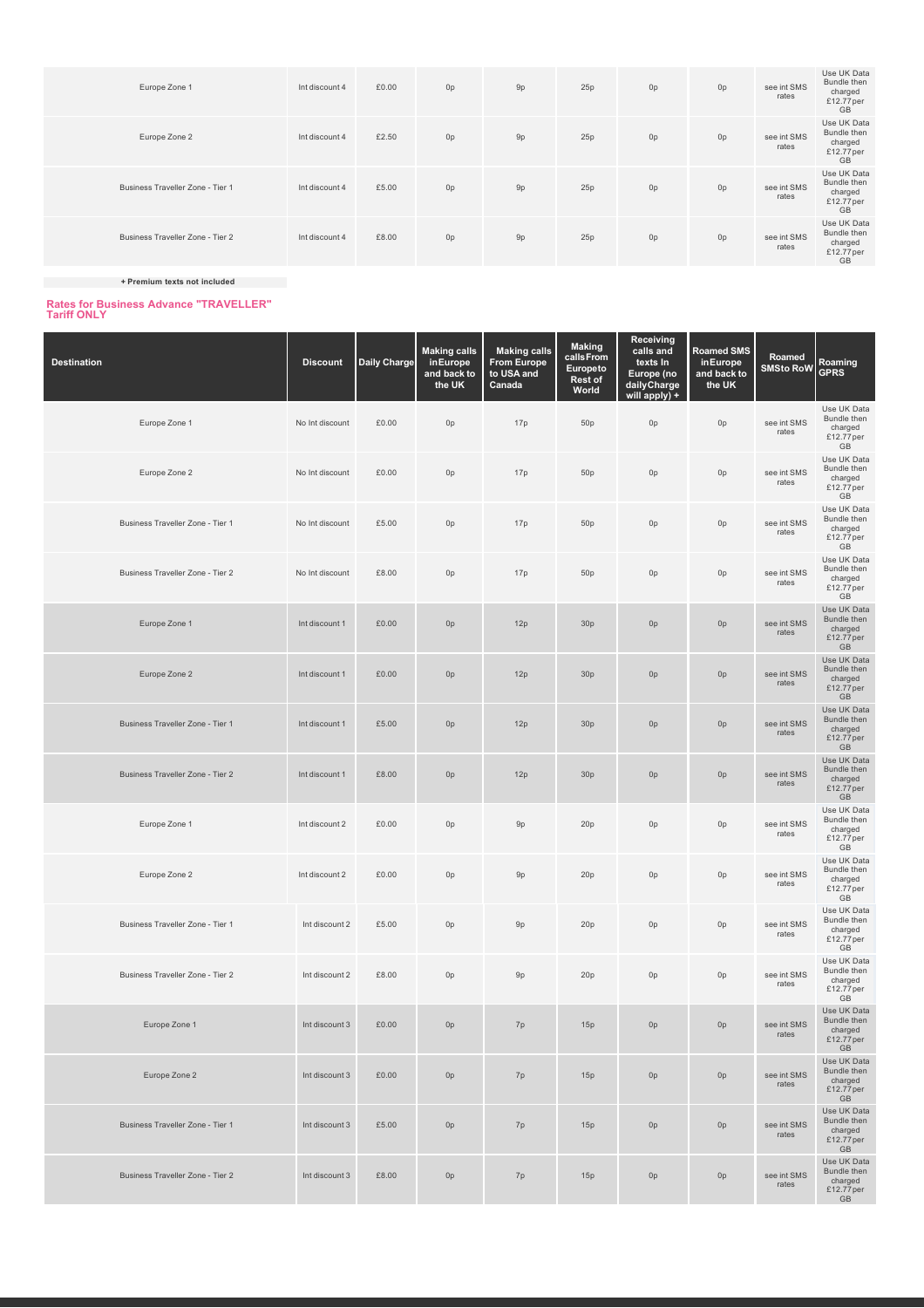| Europe Zone 1                    | Int discount 4 | £0.00 | 0p             | 9p | 25p | 0 <sub>p</sub> | 0 <sub>p</sub> | see int SMS<br>rates | Use UK Data<br>Bundle then<br>charged<br>£12.77 per<br><b>GB</b> |
|----------------------------------|----------------|-------|----------------|----|-----|----------------|----------------|----------------------|------------------------------------------------------------------|
| Europe Zone 2                    | Int discount 4 | £2.50 | 0 <sub>p</sub> | 9p | 25p | 0 <sub>p</sub> | 0 <sub>p</sub> | see int SMS<br>rates | Use UK Data<br>Bundle then<br>charged<br>£12.77 per<br><b>GB</b> |
| Business Traveller Zone - Tier 1 | Int discount 4 | £5.00 | 0 <sub>p</sub> | 9p | 25p | 0 <sub>p</sub> | 0 <sub>p</sub> | see int SMS<br>rates | Use UK Data<br>Bundle then<br>charged<br>£12.77 per<br><b>GB</b> |
| Business Traveller Zone - Tier 2 | Int discount 4 | £8.00 | 0 <sub>p</sub> | 9p | 25p | 0 <sub>p</sub> | 0 <sub>p</sub> | see int SMS<br>rates | Use UK Data<br>Bundle then<br>charged<br>£12.77 per<br><b>GB</b> |

**+ Premium texts not included**

# **Rates for Business Advance "TRAVELLER" Tariff ONLY**

| <b>Destination</b>               | <b>Discount</b> | <b>Daily Charge</b> | <b>Making calls</b><br>inEurope<br>and back to<br>the UK | <b>Making calls</b><br><b>From Europe</b><br>to USA and<br>Canada | <b>Making</b><br>calls From<br>Europeto<br>Rest of<br>World | Receiving<br>calls and<br>texts In<br>Europe (no<br>daily Charge<br>will apply) + | <b>Roamed SMS</b><br>inEurope<br>and back to<br>the UK | Roamed<br><b>SMSto RoW</b> | Roaming<br><b>GPRS</b>                                    |
|----------------------------------|-----------------|---------------------|----------------------------------------------------------|-------------------------------------------------------------------|-------------------------------------------------------------|-----------------------------------------------------------------------------------|--------------------------------------------------------|----------------------------|-----------------------------------------------------------|
| Europe Zone 1                    | No Int discount | £0.00               | 0 <sub>p</sub>                                           | 17p                                                               | 50 <sub>p</sub>                                             | 0p                                                                                | 0 <sub>p</sub>                                         | see int SMS<br>rates       | Use UK Data<br>Bundle then<br>charged<br>£12.77 per<br>GB |
| Europe Zone 2                    | No Int discount | £0.00               | 0 <sub>p</sub>                                           | 17p                                                               | 50 <sub>p</sub>                                             | 0p                                                                                | 0p                                                     | see int SMS<br>rates       | Use UK Data<br>Bundle then<br>charged<br>£12.77 per<br>GB |
| Business Traveller Zone - Tier 1 | No Int discount | £5.00               | 0 <sub>p</sub>                                           | 17p                                                               | 50 <sub>p</sub>                                             | 0p                                                                                | 0p                                                     | see int SMS<br>rates       | Use UK Data<br>Bundle then<br>charged<br>£12.77 per<br>GB |
| Business Traveller Zone - Tier 2 | No Int discount | £8.00               | 0 <sub>p</sub>                                           | 17p                                                               | 50 <sub>p</sub>                                             | 0p                                                                                | 0p                                                     | see int SMS<br>rates       | Use UK Data<br>Bundle then<br>charged<br>£12.77 per<br>GB |
| Europe Zone 1                    | Int discount 1  | £0.00               | 0 <sub>p</sub>                                           | 12p                                                               | 30p                                                         | 0 <sub>p</sub>                                                                    | 0p                                                     | see int SMS<br>rates       | Use UK Data<br>Bundle then<br>charged<br>£12.77 per<br>GB |
| Europe Zone 2                    | Int discount 1  | £0.00               | 0 <sub>p</sub>                                           | 12p                                                               | 30p                                                         | 0 <sub>p</sub>                                                                    | 0 <sub>p</sub>                                         | see int SMS<br>rates       | Use UK Data<br>Bundle then<br>charged<br>£12.77 per<br>GB |
| Business Traveller Zone - Tier 1 | Int discount 1  | £5.00               | 0 <sub>p</sub>                                           | 12p                                                               | 30p                                                         | 0 <sub>p</sub>                                                                    | 0 <sub>p</sub>                                         | see int SMS<br>rates       | Use UK Data<br>Bundle then<br>charged<br>£12.77 per<br>GB |
| Business Traveller Zone - Tier 2 | Int discount 1  | £8.00               | 0 <sub>p</sub>                                           | 12p                                                               | 30p                                                         | 0p                                                                                | 0 <sub>p</sub>                                         | see int SMS<br>rates       | Use UK Data<br>Bundle then<br>charged<br>£12.77 per<br>GB |
| Europe Zone 1                    | Int discount 2  | £0.00               | 0 <sub>p</sub>                                           | 9p                                                                | 20p                                                         | 0p                                                                                | 0p                                                     | see int SMS<br>rates       | Use UK Data<br>Bundle then<br>charged<br>£12.77 per<br>GB |
| Europe Zone 2                    | Int discount 2  | £0.00               | 0 <sub>p</sub>                                           | 9p                                                                | 20p                                                         | 0p                                                                                | 0p                                                     | see int SMS<br>rates       | Use UK Data<br>Bundle then<br>charged<br>£12.77 per<br>GB |
| Business Traveller Zone - Tier 1 | Int discount 2  | £5.00               | 0p                                                       | 9p                                                                | 20p                                                         | 0p                                                                                | 0 <sub>p</sub>                                         | see int SMS<br>rates       | Use UK Data<br>Bundle then<br>charged<br>£12.77 per<br>GB |
| Business Traveller Zone - Tier 2 | Int discount 2  | £8.00               | 0p                                                       | 9p                                                                | 20p                                                         | 0p                                                                                | 0 <sub>p</sub>                                         | see int SMS<br>rates       | Use UK Data<br>Bundle then<br>charged<br>£12.77 per<br>GB |
| Europe Zone 1                    | Int discount 3  | £0.00               | 0 <sub>p</sub>                                           | 7p                                                                | 15p                                                         | 0 <sub>p</sub>                                                                    | 0 <sub>p</sub>                                         | see int SMS<br>rates       | Use UK Data<br>Bundle then<br>cnarged<br>$£12.77$ per GB  |
| Europe Zone 2                    | Int discount 3  | £0.00               | 0 <sub>p</sub>                                           | 7p                                                                | 15p                                                         | 0 <sub>p</sub>                                                                    | 0p                                                     | see int SMS<br>rates       | Use UK Data<br>Bundle then<br>charged<br>£12.77 per<br>GB |
| Business Traveller Zone - Tier 1 | Int discount 3  | £5.00               | 0 <sub>p</sub>                                           | 7p                                                                | 15p                                                         | 0 <sub>p</sub>                                                                    | 0p                                                     | see int SMS<br>rates       | Use UK Data<br>Bundle then<br>charged<br>£12.77 per<br>GB |
| Business Traveller Zone - Tier 2 | Int discount 3  | £8.00               | 0 <sub>p</sub>                                           | 7p                                                                | 15p                                                         | 0 <sub>p</sub>                                                                    | 0 <sub>p</sub>                                         | see int SMS<br>rates       | Use UK Data<br>Bundle then<br>charged<br>£12.77 per<br>GB |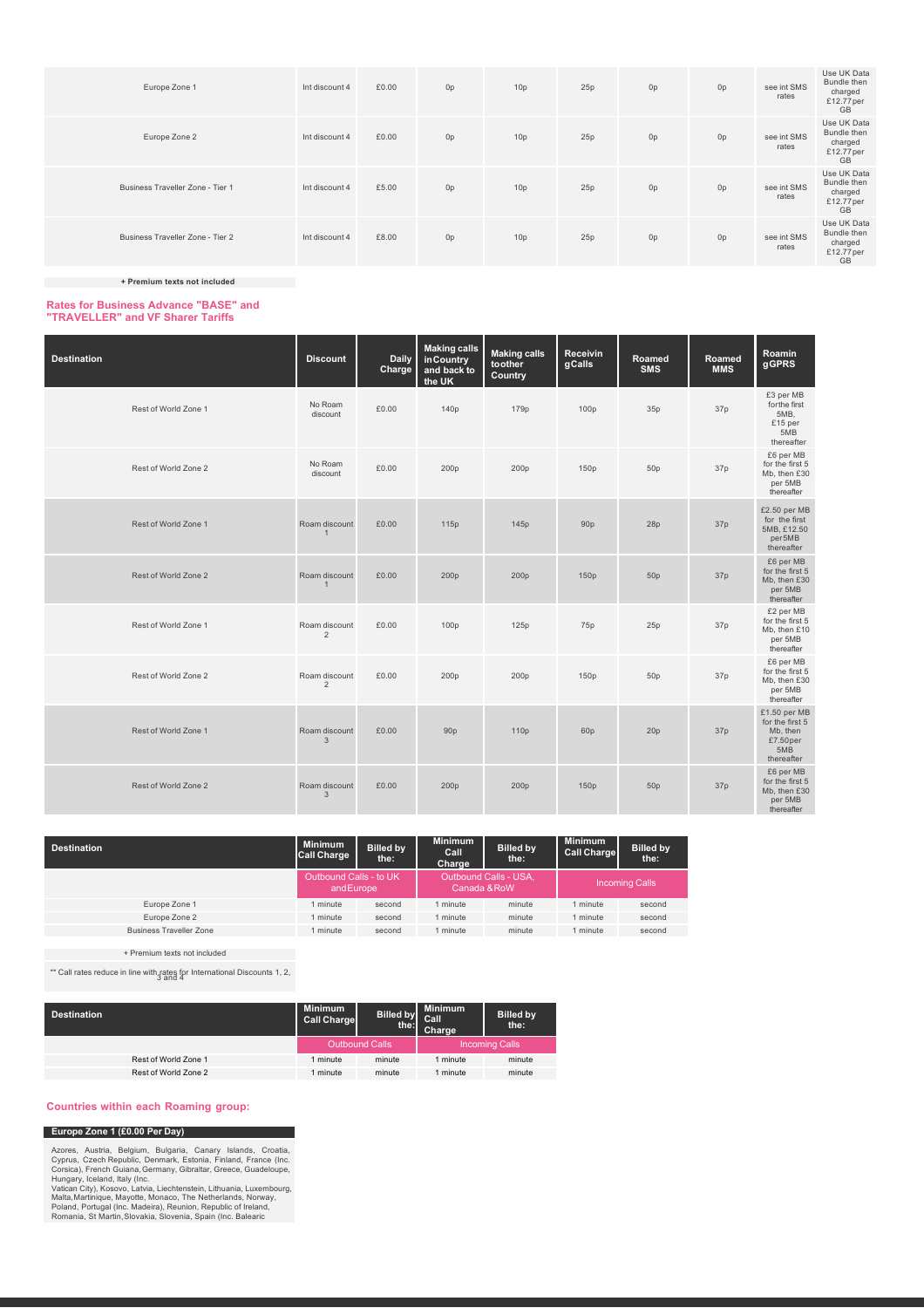| Europe Zone 1                    | Int discount 4 | £0.00 | 0p             | 10 <sub>p</sub> | 25p | 0p | 0 <sub>p</sub> | see int SMS<br>rates | Use UK Data<br>Bundle then<br>charged<br>£12.77 per<br><b>GB</b> |
|----------------------------------|----------------|-------|----------------|-----------------|-----|----|----------------|----------------------|------------------------------------------------------------------|
| Europe Zone 2                    | Int discount 4 | £0.00 | 0 <sub>p</sub> | 10 <sub>p</sub> | 25p | 0p | 0 <sub>p</sub> | see int SMS<br>rates | Use UK Data<br>Bundle then<br>charged<br>£12.77per<br><b>GB</b>  |
| Business Traveller Zone - Tier 1 | Int discount 4 | £5.00 | 0 <sub>p</sub> | 10 <sub>p</sub> | 25p | 0p | 0 <sub>p</sub> | see int SMS<br>rates | Use UK Data<br>Bundle then<br>charged<br>£12.77 per<br><b>GB</b> |
| Business Traveller Zone - Tier 2 | Int discount 4 | £8.00 | 0 <sub>p</sub> | 10 <sub>p</sub> | 25p | 0p | 0 <sub>p</sub> | see int SMS<br>rates | Use UK Data<br>Bundle then<br>charged<br>£12.77 per<br>GB        |

**+ Premium texts not included**

# **Rates for Business Advance "BASE" and "TRAVELLER" and VF Sharer Tariffs**

| <b>Destination</b>   | <b>Discount</b>                 | <b>Daily</b><br>Charge | <b>Making calls</b><br>in Country<br>and back to<br>the UK | <b>Making calls</b><br>toother<br>Country | Receivin<br>gCalls | Roamed<br><b>SMS</b> | Roamed<br><b>MMS</b> | Roamin<br>gGPRS                                                              |
|----------------------|---------------------------------|------------------------|------------------------------------------------------------|-------------------------------------------|--------------------|----------------------|----------------------|------------------------------------------------------------------------------|
| Rest of World Zone 1 | No Roam<br>discount             | £0.00                  | 140p                                                       | 179p                                      | 100 <sub>p</sub>   | 35p                  | 37p                  | £3 per MB<br>for the first<br>5MB.<br>£15 per<br>5MB<br>thereafter           |
| Rest of World Zone 2 | No Roam<br>discount             | £0.00                  | 200p                                                       | 200p                                      | 150p               | 50 <sub>p</sub>      | 37p                  | £6 per MB<br>for the first 5<br>Mb, then £30<br>per 5MB<br>thereafter        |
| Rest of World Zone 1 | Roam discount<br>$\overline{1}$ | £0.00                  | 115p                                                       | 145p                                      | 90 <sub>p</sub>    | 28p                  | 37p                  | £2.50 per MB<br>for the first<br>5MB, £12.50<br>per5MB<br>thereafter         |
| Rest of World Zone 2 | Roam discount<br>$\mathbf{1}$   | £0.00                  | 200p                                                       | 200p                                      | 150p               | 50 <sub>p</sub>      | 37p                  | £6 per MB<br>for the first 5<br>Mb, then £30<br>per 5MB<br>thereafter        |
| Rest of World Zone 1 | Roam discount<br>$\overline{2}$ | £0.00                  | 100 <sub>p</sub>                                           | 125p                                      | 75p                | 25p                  | 37p                  | £2 per MB<br>for the first 5<br>Mb, then £10<br>per 5MB<br>thereafter        |
| Rest of World Zone 2 | Roam discount<br>$\overline{2}$ | £0.00                  | 200p                                                       | 200 <sub>p</sub>                          | 150p               | 50 <sub>p</sub>      | 37p                  | £6 per MB<br>for the first 5<br>Mb, then £30<br>per 5MB<br>thereafter        |
| Rest of World Zone 1 | Roam discount<br>$\mathbf{3}$   | £0.00                  | 90 <sub>p</sub>                                            | 110 <sub>p</sub>                          | 60p                | 20 <sub>p</sub>      | 37p                  | £1.50 per MB<br>for the first 5<br>Mb, then<br>£7.50per<br>5MB<br>thereafter |
| Rest of World Zone 2 | Roam discount<br>$\mathbf{3}$   | £0.00                  | 200p                                                       | 200p                                      | 150p               | 50p                  | 37p                  | £6 per MB<br>for the first 5<br>Mb, then £30<br>per 5MB<br>thereafter        |

| <b>Destination</b>             | <b>Minimum</b><br><b>Call Charge</b> | <b>Billed by</b><br>the: | <b>Minimum</b><br>Call<br>Charge      | <b>Billed by</b><br>the: | <b>Minimum</b><br><b>Call Charge</b> | <b>Billed by</b><br>the: |
|--------------------------------|--------------------------------------|--------------------------|---------------------------------------|--------------------------|--------------------------------------|--------------------------|
|                                | Outbound Calls - to UK<br>andEurope  |                          | Outbound Calls - USA,<br>Canada & RoW |                          | <b>Incoming Calls</b>                |                          |
| Europe Zone 1                  | 1 minute                             | second                   | minute                                | minute                   | I minute                             | second                   |
| Europe Zone 2                  | 1 minute                             | second                   | minute                                | minute                   | I minute                             | second                   |
| <b>Business Traveller Zone</b> | 1 minute                             | second                   | minute                                | minute                   | I minute                             | second                   |

+ Premium texts not included

\*\* Call rates reduce in line with rates for International Discounts 1, 2, 3 and 4

| <b>Destination</b>   | <b>Minimum</b><br><b>Call Charge</b> | <b>Billed by</b><br>the: | <b>Minimum</b><br><b>Call</b><br>Charge | <b>Billed by</b><br>the: |
|----------------------|--------------------------------------|--------------------------|-----------------------------------------|--------------------------|
|                      |                                      | Outbound Calls           | <b>Incoming Calls</b>                   |                          |
| Rest of World Zone 1 | minute                               | minute                   | minute                                  | minute                   |
| Rest of World Zone 2 | minute                               | minute                   | I minute                                | minute                   |

#### **Countries within each Roaming group:**

# **Europe Zone 1 (£0.00 Per Day)**

Azores, Austria, Belgium, Bulgaria, Canary Islands, Croatia,<br>Cyprus, Czech Republic, Denmark, Estonia, Finland, France (Inc.<br>Corsica), French Guiana, Germany, Gibraltar, Greece, Guadeloupe,<br>Hungary, Iceland, Italy (Inc.<br>Va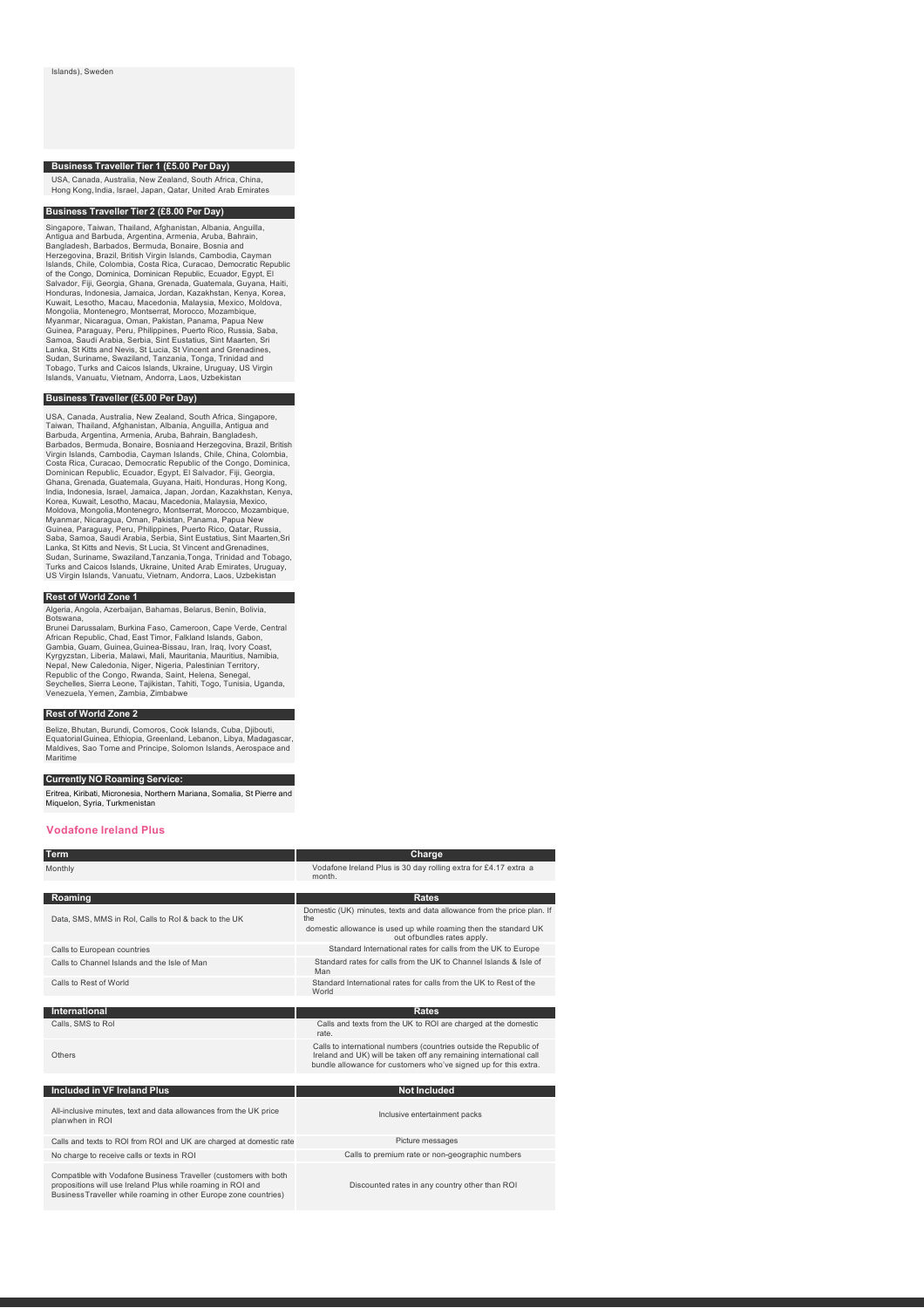### **Business Traveller Tier 1 (£5.00 Per Day)**

USA, Canada, Australia, New Zealand, South Africa, China, Hong Kong,India, Israel, Japan, Qatar, United Arab Emirates

#### **Business Traveller Tier 2 (£8.00 Per Day)**

Singapore, Taiwan, Thailand, Afghanistan, Albania, Anguilla, Antigua and Barbuda, Argentina, Armenia, Aruba, Bahrain, Bangladesh, Barbados, Bermuda, Bonaire, Bosnia and<br>Herzegovina, Brazil, British Virgin Islands, Cambodia, Cayman<br>Islands, Chile, Colombia, Costa Rica, Curacao, Democratic Republic<br>of the Congo, Dominica, Dominican Republic Mongolia, Montenegro, Montserrat, Morocco, Mozambique,<br>Myanmar, Nicaragua, Oman, Pakistan, Panama, Papua New<br>Guinea, Paraguay, Peru, Philippines, Puerto Rico, Russia, Saba,<br>Samoa, Saudi Arabia, Serbia, Sint Eustatius, Sint Islands, Vanuatu, Vietnam, Andorra, Laos, Uzbekistan

### **Business Traveller (£5.00 Per Day)**

USA, Canada, Australia, New Zealand, South Africa, Singapore, Taiwan, Thailand, Afghanistan, Albania, Anguilla, Antigua and<br>Barbuda, Argentina, Armenia, Aruba, Bahrain, Bangladesh,<br>Barbados, Bermuda, Bonaire, Bosnianan Her Guinea, Paraguay, Peru, Philippines, Puerto Rico, Qatar, Russia, Saba, Samoa, Saudi Arabia, Serbia, Sinta Lama, Sinta Manten, Sri<br>Saba, Samoa, Saudi Arabia, Serbia, Sint Eustatius, Sint Maraten, Sri<br>Lanka, St Kitts and Nev

#### **Rest of World Zone 1**

Algeria, Angola, Azerbaijan, Bahamas, Belarus, Benin, Bolivia,

Botswana,<br>Brunei Darussalam, Burkina Faso, Cameroon, Cape Verde, Central<br>African Republic, Chad, East Timor, Falkland Islands, Gabon,<br>Gambia, Guam, Guinea, Guinea-Bissau, Iran, Iraq, Ivory Coast,<br>Kyrgyzstan, Liberia, Malaw

#### **Rest of World Zone 2**

Belize, Bhutan, Burundi, Comoros, Cook Islands, Cuba, Djibouti, EquatorialGuinea, Ethiopia, Greenland, Lebanon, Libya, Madagascar, Maldives, Sao Tome and Principe, Solomon Islands, Aerospace and Maritime

#### **Currently NO Roaming Service:**

Eritrea, Kiribati, Micronesia, Northern Mariana, Somalia, St Pierre and Miquelon, Syria, Turkmenistan

#### **Vodafone Ireland Plus**

| <b>Term</b>                                                                                                                                                                                         | Charge                                                                                                                                  |
|-----------------------------------------------------------------------------------------------------------------------------------------------------------------------------------------------------|-----------------------------------------------------------------------------------------------------------------------------------------|
| Monthly                                                                                                                                                                                             | Vodafone Ireland Plus is 30 day rolling extra for £4.17 extra a<br>month.                                                               |
|                                                                                                                                                                                                     |                                                                                                                                         |
| Roaming                                                                                                                                                                                             | <b>Rates</b>                                                                                                                            |
| Data, SMS, MMS in RoI, Calls to RoI & back to the UK                                                                                                                                                | Domestic (UK) minutes, texts and data allowance from the price plan. If<br>the                                                          |
|                                                                                                                                                                                                     | domestic allowance is used up while roaming then the standard UK<br>out ofbundles rates apply.                                          |
| Calls to European countries                                                                                                                                                                         | Standard International rates for calls from the UK to Europe                                                                            |
| Calls to Channel Islands and the Isle of Man                                                                                                                                                        | Standard rates for calls from the UK to Channel Islands & Isle of<br>Man                                                                |
| Calls to Rest of World                                                                                                                                                                              | Standard International rates for calls from the UK to Rest of the<br>World                                                              |
|                                                                                                                                                                                                     |                                                                                                                                         |
| International                                                                                                                                                                                       | <b>Rates</b>                                                                                                                            |
| Calls, SMS to Rol                                                                                                                                                                                   | Calls and texts from the UK to ROI are charged at the domestic<br>rate.                                                                 |
| Others                                                                                                                                                                                              | Calls to international numbers (countries outside the Republic of<br>Ireland and UK) will be taken off any remaining international call |
|                                                                                                                                                                                                     | bundle allowance for customers who've signed up for this extra.                                                                         |
|                                                                                                                                                                                                     |                                                                                                                                         |
| Included in VF Ireland Plus                                                                                                                                                                         | <b>Not Included</b>                                                                                                                     |
| All-inclusive minutes, text and data allowances from the UK price                                                                                                                                   |                                                                                                                                         |
| planwhen in ROI                                                                                                                                                                                     | Inclusive entertainment packs                                                                                                           |
| Calls and texts to ROI from ROI and UK are charged at domestic rate                                                                                                                                 | Picture messages                                                                                                                        |
| No charge to receive calls or texts in ROI                                                                                                                                                          | Calls to premium rate or non-geographic numbers                                                                                         |
|                                                                                                                                                                                                     |                                                                                                                                         |
| Compatible with Vodafone Business Traveller (customers with both<br>propositions will use Ireland Plus while roaming in ROI and<br>Business Traveller while roaming in other Europe zone countries) | Discounted rates in any country other than ROI                                                                                          |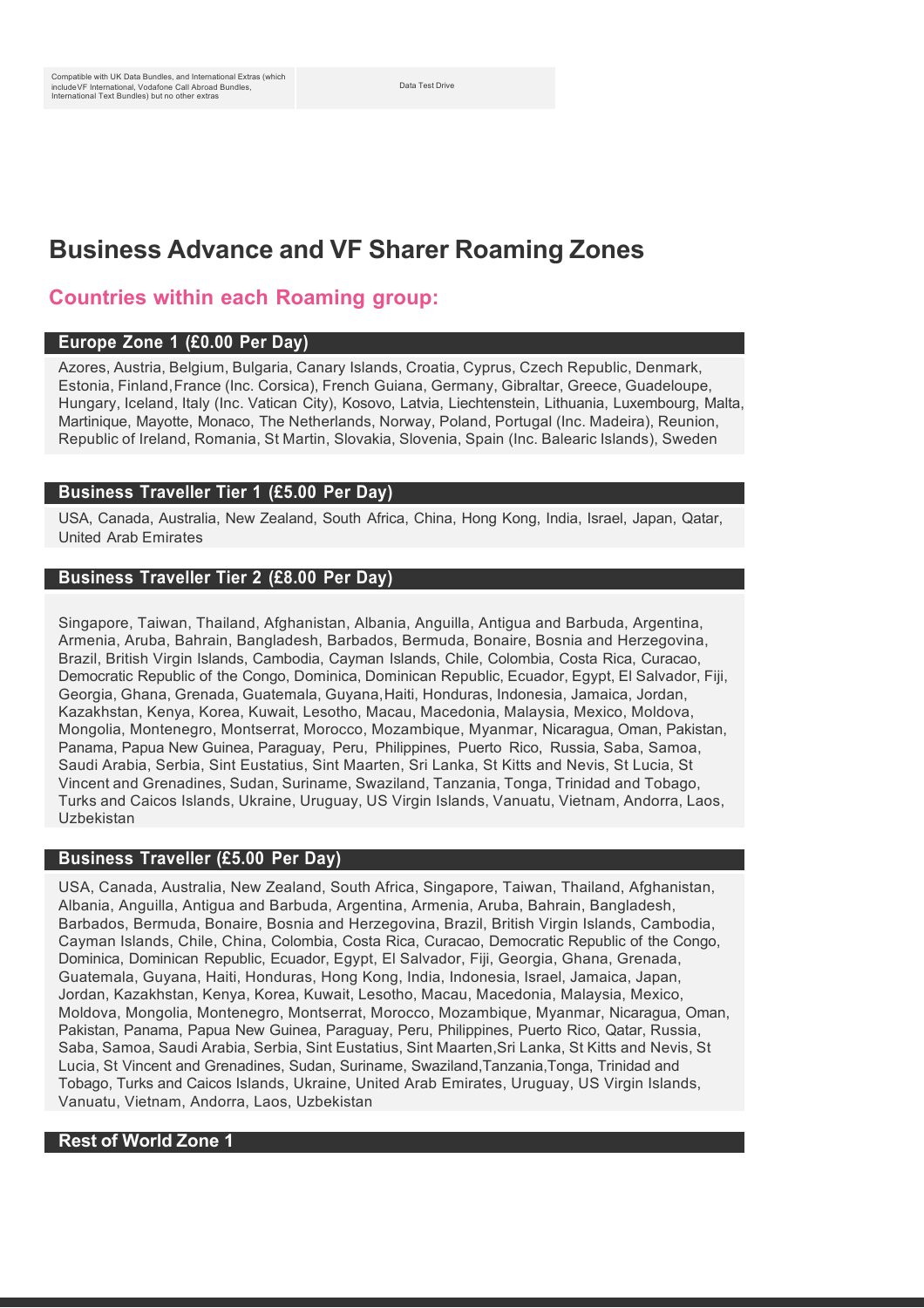Data Test Drive

# **Business Advance and VF Sharer Roaming Zones**

# **Countries within each Roaming group:**

# **Europe Zone 1 (£0.00 Per Day)**

Azores, Austria, Belgium, Bulgaria, Canary Islands, Croatia, Cyprus, Czech Republic, Denmark, Estonia, Finland,France (Inc. Corsica), French Guiana, Germany, Gibraltar, Greece, Guadeloupe, Hungary, Iceland, Italy (Inc. Vatican City), Kosovo, Latvia, Liechtenstein, Lithuania, Luxembourg, Malta, Martinique, Mayotte, Monaco, The Netherlands, Norway, Poland, Portugal (Inc. Madeira), Reunion, Republic of Ireland, Romania, St Martin, Slovakia, Slovenia, Spain (Inc. Balearic Islands), Sweden

# **Business Traveller Tier 1 (£5.00 Per Day)**

USA, Canada, Australia, New Zealand, South Africa, China, Hong Kong, India, Israel, Japan, Qatar, United Arab Emirates

# **Business Traveller Tier 2 (£8.00 Per Day)**

Singapore, Taiwan, Thailand, Afghanistan, Albania, Anguilla, Antigua and Barbuda, Argentina, Armenia, Aruba, Bahrain, Bangladesh, Barbados, Bermuda, Bonaire, Bosnia and Herzegovina, Brazil, British Virgin Islands, Cambodia, Cayman Islands, Chile, Colombia, Costa Rica, Curacao, Democratic Republic of the Congo, Dominica, Dominican Republic, Ecuador, Egypt, El Salvador, Fiji, Georgia, Ghana, Grenada, Guatemala, Guyana,Haiti, Honduras, Indonesia, Jamaica, Jordan, Kazakhstan, Kenya, Korea, Kuwait, Lesotho, Macau, Macedonia, Malaysia, Mexico, Moldova, Mongolia, Montenegro, Montserrat, Morocco, Mozambique, Myanmar, Nicaragua, Oman, Pakistan, Panama, Papua New Guinea, Paraguay, Peru, Philippines, Puerto Rico, Russia, Saba, Samoa, Saudi Arabia, Serbia, Sint Eustatius, Sint Maarten, Sri Lanka, St Kitts and Nevis, St Lucia, St Vincent and Grenadines, Sudan, Suriname, Swaziland, Tanzania, Tonga, Trinidad and Tobago, Turks and Caicos Islands, Ukraine, Uruguay, US Virgin Islands, Vanuatu, Vietnam, Andorra, Laos, Uzbekistan

# **Business Traveller (£5.00 Per Day)**

USA, Canada, Australia, New Zealand, South Africa, Singapore, Taiwan, Thailand, Afghanistan, Albania, Anguilla, Antigua and Barbuda, Argentina, Armenia, Aruba, Bahrain, Bangladesh, Barbados, Bermuda, Bonaire, Bosnia and Herzegovina, Brazil, British Virgin Islands, Cambodia, Cayman Islands, Chile, China, Colombia, Costa Rica, Curacao, Democratic Republic of the Congo, Dominica, Dominican Republic, Ecuador, Egypt, El Salvador, Fiji, Georgia, Ghana, Grenada, Guatemala, Guyana, Haiti, Honduras, Hong Kong, India, Indonesia, Israel, Jamaica, Japan, Jordan, Kazakhstan, Kenya, Korea, Kuwait, Lesotho, Macau, Macedonia, Malaysia, Mexico, Moldova, Mongolia, Montenegro, Montserrat, Morocco, Mozambique, Myanmar, Nicaragua, Oman, Pakistan, Panama, Papua New Guinea, Paraguay, Peru, Philippines, Puerto Rico, Qatar, Russia, Saba, Samoa, Saudi Arabia, Serbia, Sint Eustatius, Sint Maarten,Sri Lanka, St Kitts and Nevis, St Lucia, St Vincent and Grenadines, Sudan, Suriname, Swaziland,Tanzania,Tonga, Trinidad and Tobago, Turks and Caicos Islands, Ukraine, United Arab Emirates, Uruguay, US Virgin Islands, Vanuatu, Vietnam, Andorra, Laos, Uzbekistan

# **Rest of World Zone 1**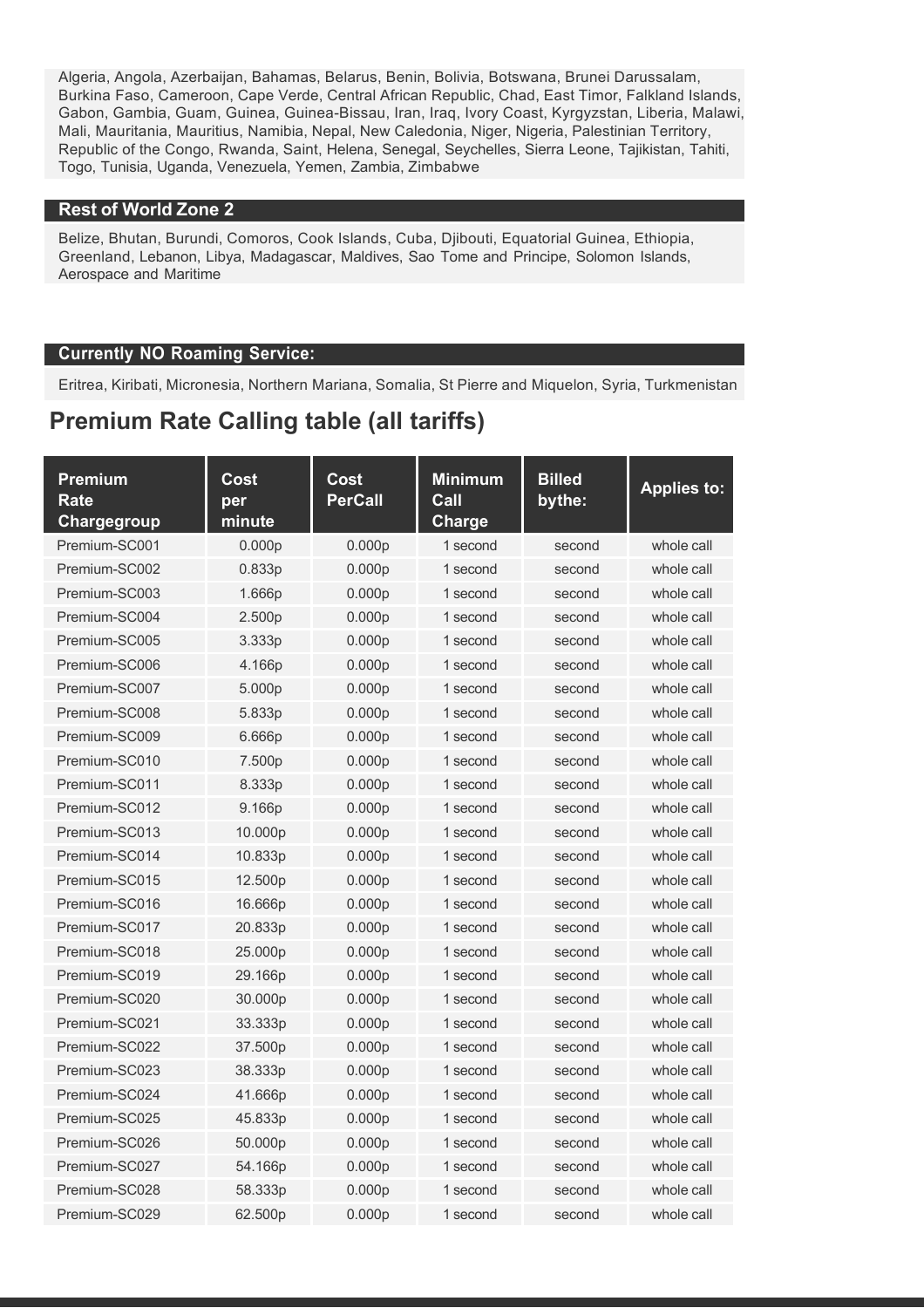Algeria, Angola, Azerbaijan, Bahamas, Belarus, Benin, Bolivia, Botswana, Brunei Darussalam, Burkina Faso, Cameroon, Cape Verde, Central African Republic, Chad, East Timor, Falkland Islands, Gabon, Gambia, Guam, Guinea, Guinea-Bissau, Iran, Iraq, Ivory Coast, Kyrgyzstan, Liberia, Malawi, Mali, Mauritania, Mauritius, Namibia, Nepal, New Caledonia, Niger, Nigeria, Palestinian Territory, Republic of the Congo, Rwanda, Saint, Helena, Senegal, Seychelles, Sierra Leone, Tajikistan, Tahiti, Togo, Tunisia, Uganda, Venezuela, Yemen, Zambia, Zimbabwe

# **Rest of World Zone 2**

Belize, Bhutan, Burundi, Comoros, Cook Islands, Cuba, Djibouti, Equatorial Guinea, Ethiopia, Greenland, Lebanon, Libya, Madagascar, Maldives, Sao Tome and Principe, Solomon Islands, Aerospace and Maritime

# **Currently NO Roaming Service:**

Eritrea, Kiribati, Micronesia, Northern Mariana, Somalia, St Pierre and Miquelon, Syria, Turkmenistan

# **Premium Rate Calling table (all tariffs)**

| <b>Premium</b><br>Rate<br>Chargegroup | Cost<br>per<br>minute | Cost<br><b>PerCall</b> | <b>Minimum</b><br>Call<br><b>Charge</b> | <b>Billed</b><br>bythe: | <b>Applies to:</b> |
|---------------------------------------|-----------------------|------------------------|-----------------------------------------|-------------------------|--------------------|
| Premium-SC001                         | 0.000 <sub>p</sub>    | 0.000 <sub>p</sub>     | 1 second                                | second                  | whole call         |
| Premium-SC002                         | 0.833p                | 0.000p                 | 1 second                                | second                  | whole call         |
| Premium-SC003                         | 1.666p                | 0.000p                 | 1 second                                | second                  | whole call         |
| Premium-SC004                         | 2.500p                | 0.000p                 | 1 second                                | second                  | whole call         |
| Premium-SC005                         | 3.333p                | 0.000 <sub>p</sub>     | 1 second                                | second                  | whole call         |
| Premium-SC006                         | 4.166p                | 0.000p                 | 1 second                                | second                  | whole call         |
| Premium-SC007                         | 5.000p                | 0.000p                 | 1 second                                | second                  | whole call         |
| Premium-SC008                         | 5.833p                | 0.000 <sub>p</sub>     | 1 second                                | second                  | whole call         |
| Premium-SC009                         | 6.666p                | 0.000p                 | 1 second                                | second                  | whole call         |
| Premium-SC010                         | 7.500p                | 0.000p                 | 1 second                                | second                  | whole call         |
| Premium-SC011                         | 8.333p                | 0.000p                 | 1 second                                | second                  | whole call         |
| Premium-SC012                         | 9.166p                | 0.000p                 | 1 second                                | second                  | whole call         |
| Premium-SC013                         | 10.000p               | 0.000p                 | 1 second                                | second                  | whole call         |
| Premium-SC014                         | 10.833p               | 0.000p                 | 1 second                                | second                  | whole call         |
| Premium-SC015                         | 12.500p               | 0.000p                 | 1 second                                | second                  | whole call         |
| Premium-SC016                         | 16.666p               | 0.000p                 | 1 second                                | second                  | whole call         |
| Premium-SC017                         | 20.833p               | 0.000p                 | 1 second                                | second                  | whole call         |
| Premium-SC018                         | 25.000p               | 0.000p                 | 1 second                                | second                  | whole call         |
| Premium-SC019                         | 29.166p               | 0.000p                 | 1 second                                | second                  | whole call         |
| Premium-SC020                         | 30.000p               | 0.000p                 | 1 second                                | second                  | whole call         |
| Premium-SC021                         | 33.333p               | 0.000p                 | 1 second                                | second                  | whole call         |
| Premium-SC022                         | 37.500p               | 0.000p                 | 1 second                                | second                  | whole call         |
| Premium-SC023                         | 38.333p               | 0.000p                 | 1 second                                | second                  | whole call         |
| Premium-SC024                         | 41.666p               | 0.000p                 | 1 second                                | second                  | whole call         |
| Premium-SC025                         | 45.833p               | 0.000 <sub>p</sub>     | 1 second                                | second                  | whole call         |
| Premium-SC026                         | 50.000p               | 0.000p                 | 1 second                                | second                  | whole call         |
| Premium-SC027                         | 54.166p               | 0.000 <sub>p</sub>     | 1 second                                | second                  | whole call         |
| Premium-SC028                         | 58.333p               | 0.000p                 | 1 second                                | second                  | whole call         |
| Premium-SC029                         | 62.500p               | 0.000 <sub>p</sub>     | 1 second                                | second                  | whole call         |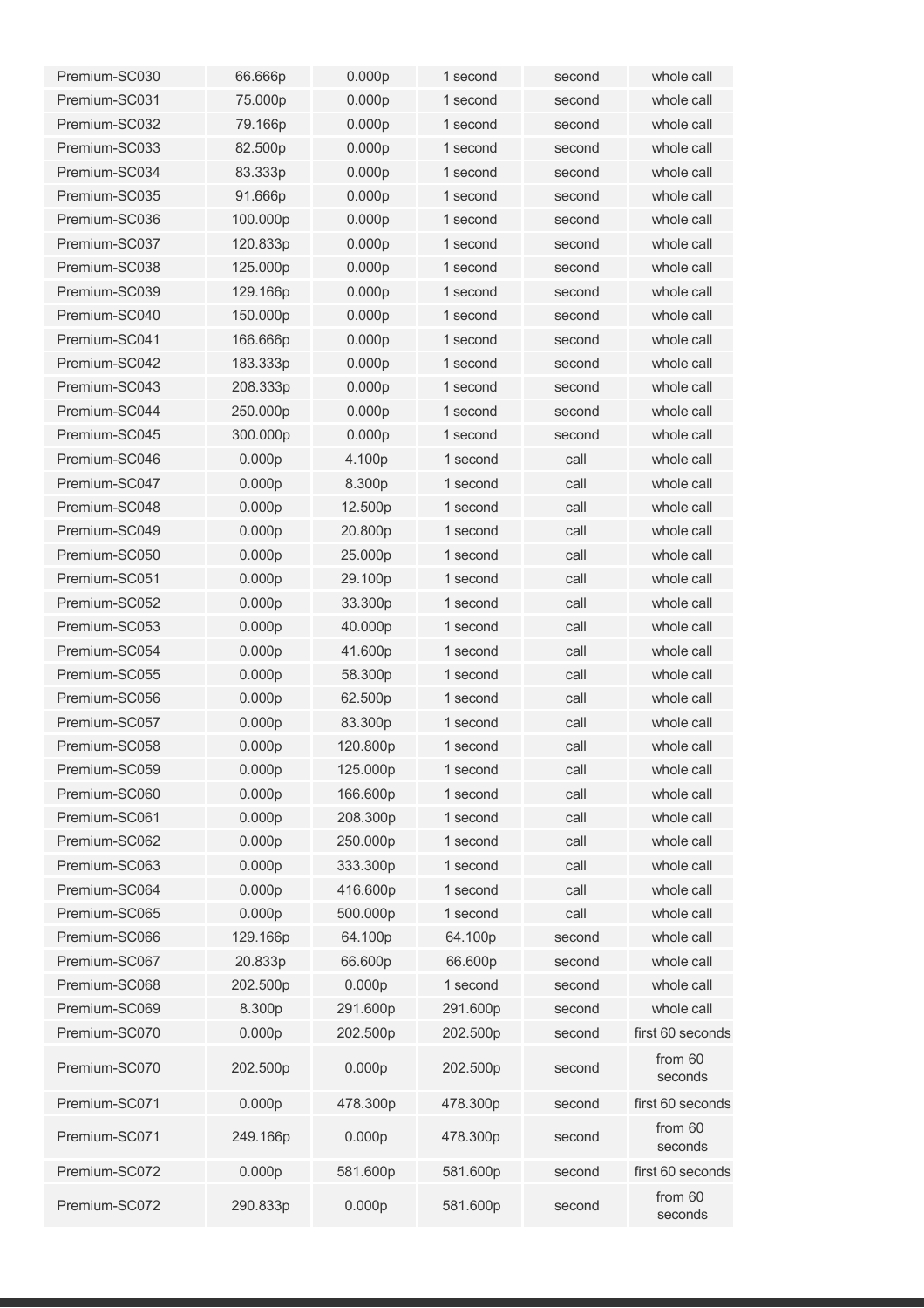| Premium-SC030 | 66.666p            | 0.000p             | 1 second | second | whole call         |
|---------------|--------------------|--------------------|----------|--------|--------------------|
| Premium-SC031 | 75.000p            | 0.000p             | 1 second | second | whole call         |
| Premium-SC032 | 79.166p            | 0.000p             | 1 second | second | whole call         |
| Premium-SC033 | 82.500p            | 0.000 <sub>p</sub> | 1 second | second | whole call         |
| Premium-SC034 | 83.333p            | 0.000p             | 1 second | second | whole call         |
| Premium-SC035 | 91.666p            | 0.000p             | 1 second | second | whole call         |
| Premium-SC036 | 100.000p           | 0.000p             | 1 second | second | whole call         |
| Premium-SC037 | 120.833p           | 0.000p             | 1 second | second | whole call         |
| Premium-SC038 | 125.000p           | 0.000p             | 1 second | second | whole call         |
| Premium-SC039 | 129.166p           | 0.000p             | 1 second | second | whole call         |
| Premium-SC040 | 150.000p           | 0.000p             | 1 second | second | whole call         |
| Premium-SC041 | 166.666p           | 0.000p             | 1 second | second | whole call         |
| Premium-SC042 | 183.333p           | 0.000p             | 1 second | second | whole call         |
| Premium-SC043 | 208.333p           | 0.000 <sub>p</sub> | 1 second | second | whole call         |
| Premium-SC044 | 250.000p           | 0.000p             | 1 second | second | whole call         |
| Premium-SC045 | 300.000p           | 0.000p             | 1 second | second | whole call         |
| Premium-SC046 | 0.000p             | 4.100p             | 1 second | call   | whole call         |
| Premium-SC047 | 0.000p             | 8.300p             | 1 second | call   | whole call         |
| Premium-SC048 | 0.000p             | 12.500p            | 1 second | call   | whole call         |
| Premium-SC049 | 0.000 <sub>p</sub> | 20.800p            | 1 second | call   | whole call         |
| Premium-SC050 | 0.000 <sub>p</sub> | 25.000p            | 1 second | call   | whole call         |
| Premium-SC051 | 0.000p             | 29.100p            | 1 second | call   | whole call         |
| Premium-SC052 | 0.000p             | 33.300p            | 1 second | call   | whole call         |
| Premium-SC053 | 0.000 <sub>p</sub> | 40.000p            | 1 second | call   | whole call         |
| Premium-SC054 | 0.000 <sub>p</sub> | 41.600p            | 1 second | call   | whole call         |
| Premium-SC055 | 0.000 <sub>p</sub> | 58.300p            | 1 second | call   | whole call         |
| Premium-SC056 | 0.000 <sub>p</sub> | 62.500p            | 1 second | call   | whole call         |
| Premium-SC057 | 0.000 <sub>p</sub> | 83.300p            | 1 second | call   | whole call         |
| Premium-SC058 | 0.000p             | 120,800p           | 1 second | call   | whole call         |
| Premium-SC059 | 0.000p             | 125.000p           | 1 second | call   | whole call         |
| Premium-SC060 | 0.000p             | 166.600p           | 1 second | call   | whole call         |
| Premium-SC061 | 0.000p             | 208.300p           | 1 second | call   | whole call         |
| Premium-SC062 | 0.000p             | 250.000p           | 1 second | call   | whole call         |
| Premium-SC063 | 0.000p             | 333.300p           | 1 second | call   | whole call         |
| Premium-SC064 | 0.000p             | 416.600p           | 1 second | call   | whole call         |
| Premium-SC065 | 0.000p             | 500.000p           | 1 second | call   | whole call         |
| Premium-SC066 | 129.166p           | 64.100p            | 64.100p  | second | whole call         |
| Premium-SC067 | 20.833p            | 66.600p            | 66.600p  | second | whole call         |
| Premium-SC068 | 202.500p           | 0.000p             | 1 second | second | whole call         |
| Premium-SC069 | 8.300p             | 291.600p           | 291.600p | second | whole call         |
| Premium-SC070 | 0.000p             | 202.500p           | 202.500p | second | first 60 seconds   |
| Premium-SC070 | 202.500p           | 0.000p             | 202.500p | second | from 60<br>seconds |
| Premium-SC071 | 0.000p             | 478.300p           | 478.300p | second | first 60 seconds   |
| Premium-SC071 | 249.166p           | 0.000p             | 478.300p | second | from 60<br>seconds |
| Premium-SC072 | 0.000p             | 581.600p           | 581.600p | second | first 60 seconds   |
| Premium-SC072 | 290.833p           | 0.000p             | 581.600p | second | from 60<br>seconds |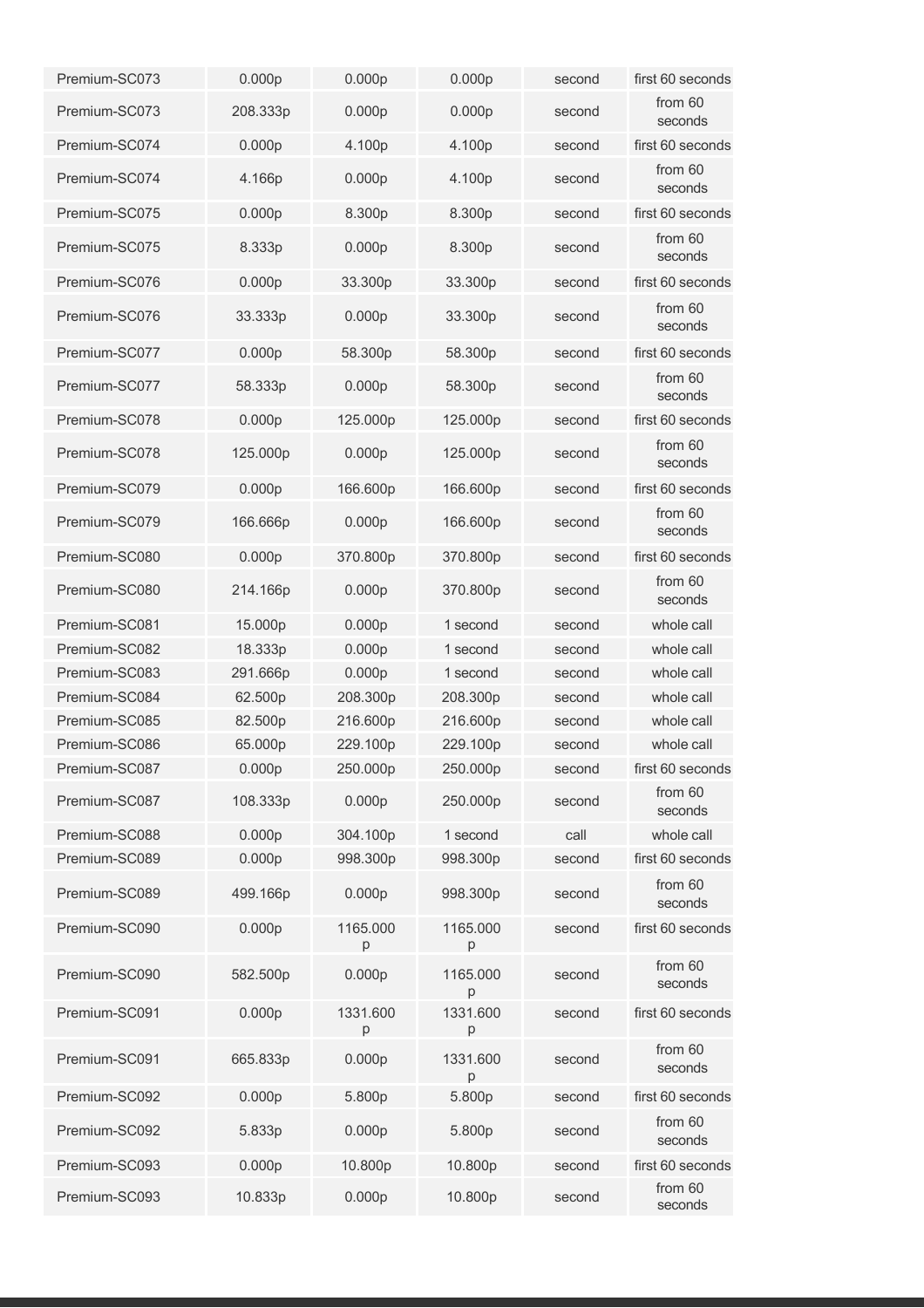| Premium-SC073 | 0.000p   | 0.000p             | 0.000 <sub>p</sub> | second | first 60 seconds   |
|---------------|----------|--------------------|--------------------|--------|--------------------|
| Premium-SC073 | 208.333p | 0.000 <sub>p</sub> | 0.000 <sub>p</sub> | second | from 60<br>seconds |
| Premium-SC074 | 0.000p   | 4.100p             | 4.100p             | second | first 60 seconds   |
| Premium-SC074 | 4.166p   | 0.000p             | 4.100p             | second | from 60<br>seconds |
| Premium-SC075 | 0.000p   | 8.300p             | 8.300p             | second | first 60 seconds   |
| Premium-SC075 | 8.333p   | 0.000 <sub>p</sub> | 8.300p             | second | from 60<br>seconds |
| Premium-SC076 | 0.000p   | 33.300p            | 33.300p            | second | first 60 seconds   |
| Premium-SC076 | 33.333p  | 0.000 <sub>p</sub> | 33.300p            | second | from 60<br>seconds |
| Premium-SC077 | 0.000p   | 58.300p            | 58.300p            | second | first 60 seconds   |
| Premium-SC077 | 58.333p  | 0.000p             | 58.300p            | second | from 60<br>seconds |
| Premium-SC078 | 0.000p   | 125.000p           | 125.000p           | second | first 60 seconds   |
| Premium-SC078 | 125.000p | 0.000p             | 125.000p           | second | from 60<br>seconds |
| Premium-SC079 | 0.000p   | 166.600p           | 166.600p           | second | first 60 seconds   |
| Premium-SC079 | 166.666p | 0.000 <sub>p</sub> | 166.600p           | second | from 60<br>seconds |
| Premium-SC080 | 0.000p   | 370.800p           | 370.800p           | second | first 60 seconds   |
| Premium-SC080 | 214.166p | 0.000p             | 370.800p           | second | from 60<br>seconds |
| Premium-SC081 | 15.000p  | 0.000p             | 1 second           | second | whole call         |
| Premium-SC082 | 18.333p  | 0.000p             | 1 second           | second | whole call         |
| Premium-SC083 | 291.666p | 0.000 <sub>p</sub> | 1 second           | second | whole call         |
| Premium-SC084 | 62.500p  | 208.300p           | 208.300p           | second | whole call         |
| Premium-SC085 | 82.500p  | 216.600p           | 216.600p           | second | whole call         |
| Premium-SC086 | 65.000p  | 229.100p           | 229.100p           | second | whole call         |
| Premium-SC087 | 0.000p   | 250.000p           | 250.000p           | second | first 60 seconds   |
| Premium-SC087 | 108.333p | 0.000p             | 250.000p           | second | from 60<br>seconds |
| Premium-SC088 | 0.000p   | 304.100p           | 1 second           | call   | whole call         |
| Premium-SC089 | 0.000p   | 998.300p           | 998.300p           | second | first 60 seconds   |
| Premium-SC089 | 499.166p | 0.000p             | 998.300p           | second | from 60<br>seconds |
| Premium-SC090 | 0.000p   | 1165.000<br>p      | 1165.000<br>p      | second | first 60 seconds   |
| Premium-SC090 | 582.500p | 0.000 <sub>p</sub> | 1165.000<br>p      | second | from 60<br>seconds |
| Premium-SC091 | 0.000p   | 1331.600<br>p      | 1331.600<br>p      | second | first 60 seconds   |
| Premium-SC091 | 665.833p | 0.000p             | 1331.600<br>p      | second | from 60<br>seconds |
| Premium-SC092 | 0.000p   | 5.800p             | 5.800p             | second | first 60 seconds   |
| Premium-SC092 | 5.833p   | 0.000p             | 5.800p             | second | from 60<br>seconds |
| Premium-SC093 | 0.000p   | 10.800p            | 10.800p            | second | first 60 seconds   |
| Premium-SC093 | 10.833p  | 0.000p             | 10.800p            | second | from 60<br>seconds |